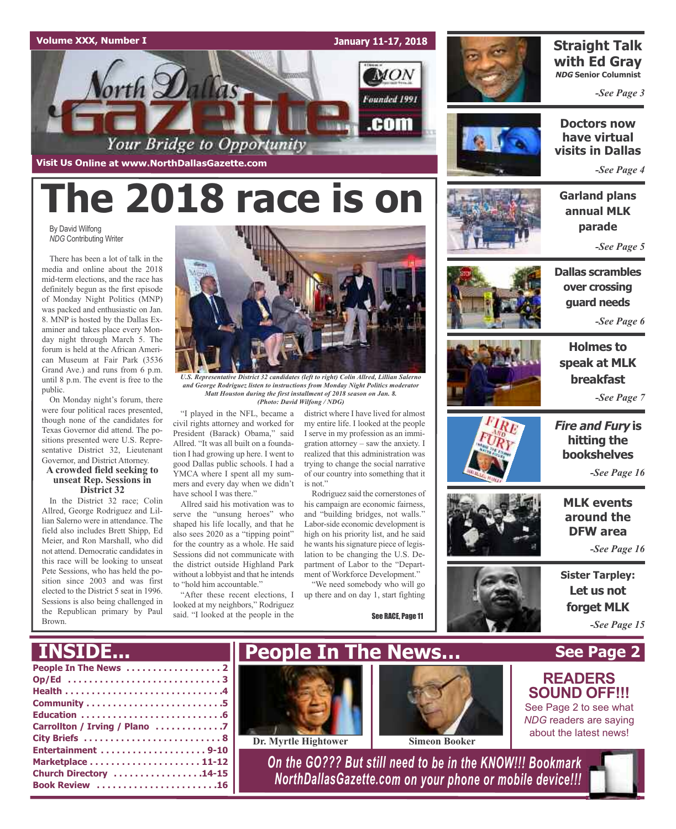

# **The 2018 race is on**

By David Wilfong *NDG* Contributing Writer

There has been a lot of talk in the media and online about the 2018 mid-term elections, and the race has definitely begun as the first episode of Monday Night Politics (MNP) was packed and enthusiastic on Jan. 8. MNP is hosted by the Dallas Examiner and takes place every Monday night through March 5. The forum is held at the African American Museum at Fair Park (3536 Grand Ave.) and runs from 6 p.m. until 8 p.m. The event is free to the public.

On Monday night's forum, there were four political races presented, though none of the candidates for Texas Governor did attend. The positions presented were U.S. Representative District 32, Lieutenant Governor, and District Attorney.

#### **A crowded field seeking to unseat Rep. Sessions in District 32**

In the District 32 race; Colin Allred, George Rodriguez and Lillian Salerno were in attendance. The field also includes Brett Shipp, Ed Meier, and Ron Marshall, who did not attend. Democratic candidates in this race will be looking to unseat Pete Sessions, who has held the position since 2003 and was first elected to the District 5 seat in 1996. Sessions is also being challenged in the Republican primary by Paul Brown.



*U.S. Representative District 32 candidates (left to right) Colin Allred, Lillian Salerno and George Rodriguez listen to instructions from Monday Night Politics moderator Matt Houston during the first installment of 2018 season on Jan. 8. (Photo: David Wilfong / NDG)*

civil rights attorney and worked for President (Barack) Obama," said Allred. "It was all built on a foundation I had growing up here. I went to good Dallas public schools. I had a YMCA where I spent all my summers and every day when we didn't have school I was there."

Allred said his motivation was to serve the "unsung heroes" who shaped his life locally, and that he also sees 2020 as a "tipping point" for the country as a whole. He said Sessions did not communicate with the district outside Highland Park without a lobbyist and that he intends to "hold him accountable."

"After these recent elections, I looked at my neighbors," Rodriguez said. "I looked at the people in the

"I played in the NFL, became a district where I have lived for almost my entire life. I looked at the people I serve in my profession as an immigration attorney – saw the anxiety. I realized that this administration was trying to change the social narrative of our country into something that it is not."

> Rodriguez said the cornerstones of his campaign are economic fairness, and "building bridges, not walls." Labor-side economic development is high on his priority list, and he said he wants hissignature piece of legislation to be changing the U.S. Department of Labor to the "Department of Workforce Development."

> "We need somebody who will go up there and on day 1, start fighting

> > See RACE, Page 11



### **Straight Talk with Ed Gray NDG Senior Columnist**

*-See Page 3*



**Doctors now have virtual visits in Dallas**

*-See Page 4*

**Garland plans annual MLK parade**

*-See Page 5*





*-See Page 6*

**Holmes to speak at MLK breakfast** *-See Page 7*





### **Fire and Fury is hitting the bookshelves**

*-See Page 16*

**MLK events around the DFW area**

*-See Page 16*

**Sister Tarpley: Let us not forget MLK** *-See Page 15*

### **See Page 2**

| <b>INSIDE</b>                                                  | People In The News                                                                                                     |                      | <b>See Page:</b>                                                                                                           |
|----------------------------------------------------------------|------------------------------------------------------------------------------------------------------------------------|----------------------|----------------------------------------------------------------------------------------------------------------------------|
| Op/Ed 3<br>Carrollton / Irving / Plano 7                       | Dr. Myrtle Hightower                                                                                                   | <b>Simeon Booker</b> | <b>READERS</b><br><b>SOUND OFF!!!</b><br>See Page 2 to see what<br><b>NDG</b> readers are saying<br>about the latest news! |
| Entertainment 9-10<br>Church Directory 14-15<br>Book Review 16 | On the GO??? But still need to be in the KNOW !!! Bookmark<br>NorthDallasGazette.com on your phone or mobile device!!! |                      |                                                                                                                            |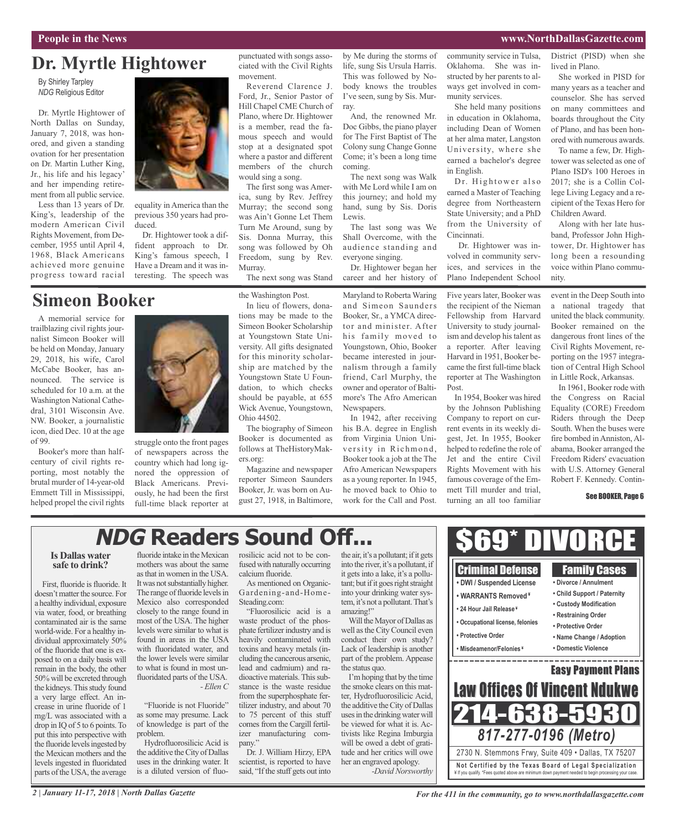#### **People in the News www.NorthDallasGazette.com**

### **Dr. Myrtle Hightower**

By Shirley Tarpley *NDG* Religious Editor

Dr. Myrtle Hightower of North Dallas on Sunday, January 7, 2018, was honored, and given a standing ovation for her presentation on Dr. Martin Luther King, Jr., his life and his legacy' and her impending retirement from all public service.

Less than 13 years of Dr. King's, leadership of the modern American Civil Rights Movement, from December, 1955 until April 4, 1968, Black Americans achieved more genuine progress toward racial



A memorial service for trailblazing civil rights journalist Simeon Booker will be held on Monday, January 29, 2018, his wife, Carol McCabe Booker, has announced. The service is scheduled for 10 a.m. at the Washington National Cathedral, 3101 Wisconsin Ave. NW. Booker, a journalistic icon, died Dec. 10 at the age of 99.

Booker's more than halfcentury of civil rights reporting, most notably the brutal murder of 14-year-old Emmett Till in Mississippi, helped propel the civil rights



equality in America than the previous 350 years had produced.

Dr. Hightower took a diffident approach to Dr. King's famous speech, I Have a Dream and it was interesting. The speech was

punctuated with songs associated with the Civil Rights movement.

Reverend Clarence J. Ford, Jr., Senior Pastor of Hill Chapel CME Church of Plano, where Dr. Hightower is a member, read the famous speech and would stop at a designated spot where a pastor and different members of the church would sing a song.

The first song was America, sung by Rev. Jeffrey Murray; the second song was Ain't Gonne Let Them Turn Me Around, sung by Sis. Donna Murray, this song was followed by Oh Freedom, sung by Rev. Murray.

The next song was Stand

the Washington Post.

life, sung Sis Ursula Harris. This was followed by Nobody knows the troubles I've seen, sung by Sis. Murray.

by Me during the storms of

And, the renowned Mr. Doc Gibbs, the piano player for The First Baptist of The Colony sung Change Gonne Come; it's been a long time coming.

The next song was Walk with Me Lord while I am on this journey; and hold my hand, sung by Sis. Doris Lewis.

The last song was We Shall Overcome, with the audience standing and everyone singing.

Dr. Hightower began her career and her history of

Maryland to Roberta Waring and Simeon Saunders Booker, Sr., a YMCA director and minister. After his family moved to Youngstown, Ohio, Booker became interested in journalism through a family friend, Carl Murphy, the owner and operator of Baltimore's The Afro American Newspapers.

In 1942, after receiving his B.A. degree in English from Virginia Union University in Richmond, Booker took a job at the The Afro American Newspapers as a young reporter. In 1945, he moved back to Ohio to work for the Call and Post. community service in Tulsa, Oklahoma. She was instructed by her parents to always get involved in community services.

She held many positions in education in Oklahoma, including Dean of Women at her alma mater, Langston University, where she earned a bachelor's degree in English.

Dr. Hightower also earned a Master of Teaching degree from Northeastern State University; and a PhD from the University of Cincinnati.

Dr. Hightower was involved in community services, and services in the Plano Independent School

Five years later, Booker was the recipient of the Nieman Fellowship from Harvard University to study journalism and develop histalent as a reporter. After leaving Harvard in 1951, Booker became the first full-time black reporter at The Washington Post.

In 1954, Booker was hired by the Johnson Publishing Company to report on current events in its weekly digest, Jet. In 1955, Booker helped to redefine the role of Jet and the entire Civil Rights Movement with his famous coverage of the Emmett Till murder and trial, turning an all too familiar

District (PISD) when she lived in Plano.

She worked in PISD for many years as a teacher and counselor. She has served on many committees and boards throughout the City of Plano, and has been honored with numerous awards.

To name a few, Dr. Hightower was selected as one of Plano ISD's 100 Heroes in 2017; she is a Collin College Living Legacy and a recipient of the Texas Hero for Children Award.

Along with her late husband, Professor John Hightower, Dr. Hightower has long been a resounding voice within Plano community.

event in the Deep South into a national tragedy that united the black community. Booker remained on the dangerous front lines of the Civil Rights Movement, reporting on the 1957 integration of Central High School in Little Rock, Arkansas.

In 1961, Booker rode with the Congress on Racial Equality (CORE) Freedom Riders through the Deep South. When the buses were fire bombed inAnniston,Alabama, Booker arranged the Freedom Riders' evacuation with U.S. Attorney General Robert F. Kennedy. Contin-

#### See BOOKER, Page 6

## **NDG Readers Sound Off...**

#### **Is Dallas water safe to drink?**

First, fluoride is fluoride. It doesn't matter the source. For a healthy individual, exposure via water, food, or breathing contaminated air is the same world-wide. For a healthy individual approximately 50% of the fluoride that one is exposed to on a daily basis will remain in the body, the other 50% will be excreted through the kidneys. This study found a very large effect. An increase in urine fluoride of 1 mg/L was associated with a drop in IQ of 5 to 6 points.To put this into perspective with the fluoride levels ingested by the Mexican mothers and the levels ingested in fluoridated parts of the USA, the average

fluoride intake in the Mexican mothers was about the same asthat in women in the USA. It was not substantially higher. The range of fluoride levels in Mexico also corresponded closely to the range found in most of the USA. The higher levels were similar to what is found in areas in the USA with fluoridated water, and the lower levels were similar to what is found in most unfluoridated parts of the USA. *- Ellen C*

struggle onto the front pages of newspapers across the country which had long ignored the oppression of Black Americans. Previously, he had been the first full-time black reporter at

"Fluoride is not Fluoride" as some may presume. Lack of knowledge is part of the problem.

Hydrofluorosilicic Acid is the additive the City of Dallas uses in the drinking water. It is a diluted version of fluorosilicic acid not to be confused with naturally occurring calcium fluoride.

As mentioned on Organic-Gardening-and-Home-Steading.com:

"Fluorosilicic acid is a waste product of the phosphate fertilizer industry and is heavily contaminated with toxins and heavy metals (including the cancerous arsenic, lead and cadmium) and radioactive materials. This substance is the waste residue from the superphosphate fertilizer industry, and about 70 to 75 percent of this stuff comes from the Cargill fertilizer manufacturing company."

Dr. J. William Hirzy, EPA scientist, is reported to have said, "If the stuff gets out into

the air, it's a pollutant; if it gets into the river, it's a pollutant, if it getsinto a lake, it's a pollutant; but if it goes right straight into your drinking water system, it's not a pollutant. That's amazing!"

Will the Mayor of Dallas as well asthe City Council even conduct their own study? Lack of leadership is another part of the problem. Appease the status quo.

I'mhoping that by the time the smoke clears on this matter, Hydrofluorosilicic Acid, the additive the City of Dallas uses in the drinking water will be viewed for what it is. Activists like Regina Imburgia will be owed a debt of gratitude and her critics will owe her an engraved apology.

*-David Norsworthy*



In lieu of flowers, donations may be made to the Simeon Booker Scholarship at Youngstown State University. All gifts designated for this minority scholarship are matched by the Youngstown State U Foundation, to which checks should be payable, at 655 Wick Avenue, Youngstown, Ohio 44502.

The biography of Simeon Booker is documented as follows at TheHistoryMakers.org:

Magazine and newspaper reporter Simeon Saunders Booker, Jr. was born on August 27, 1918, in Baltimore,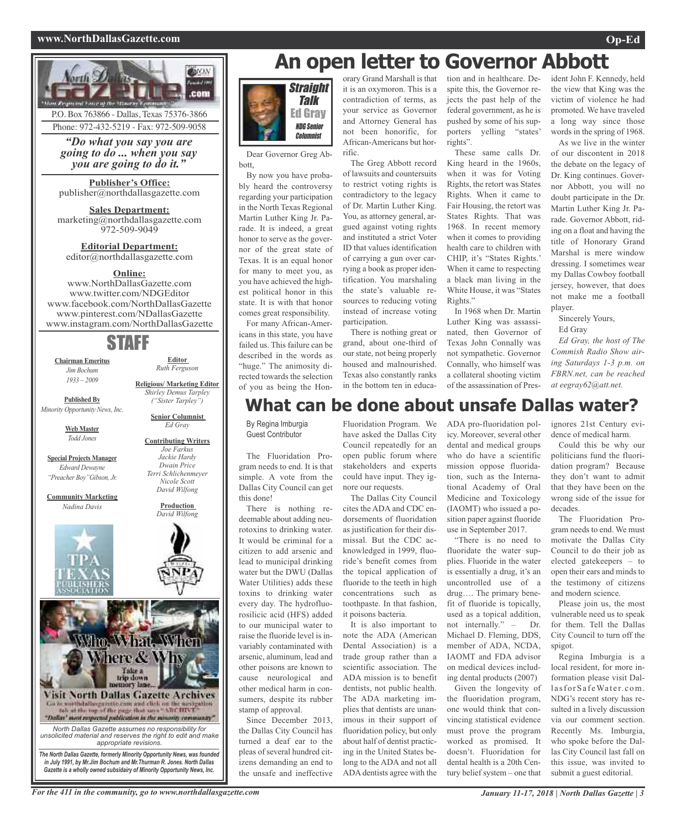#### **www.NorthDallasGazette.com Op-Ed**



## **An open letter to Governor Abbott**



Dear Governor Greg Abbott,

By now you have probably heard the controversy regarding your participation in the North Texas Regional Martin Luther King Jr. Parade. It is indeed, a great honor to serve as the governor of the great state of Texas. It is an equal honor for many to meet you, as you have achieved the highest political honor in this state. It is with that honor comes great responsibility.

For many African-Americans in this state, you have failed us. This failure can be described in the words as "huge." The animosity directed towards the selection of you as being the Honorary Grand Marshall is that it is an oxymoron. This is a contradiction of terms, as your service as Governor and Attorney General has not been honorific, for African-Americans but horrific.

The Greg Abbott record of lawsuits and countersuits to restrict voting rights is contradictory to the legacy of Dr. Martin Luther King. You, as attorney general, argued against voting rights and instituted a strict Voter ID that values identification of carrying a gun over carrying a book as proper identification. You marshaling the state's valuable resources to reducing voting instead of increase voting participation.

There is nothing great or grand, about one-third of our state, not being properly housed and malnourished. Texas also constantly ranks in the bottom ten in education and in healthcare. Despite this, the Governor rejects the past help of the federal government, as he is pushed by some of his supporters yelling "states' rights".

These same calls Dr. King heard in the 1960s, when it was for Voting Rights, the retort was States Rights. When it came to Fair Housing, the retort was States Rights. That was 1968. In recent memory when it comes to providing health care to children with CHIP, it's "States Rights.' When it came to respecting a black man living in the White House, it was "States Rights."

In 1968 when Dr. Martin Luther King was assassinated, then Governor of Texas John Connally was not sympathetic. Governor Connally, who himself was a collateral shooting victim of the assassination of President John F. Kennedy, held the view that King was the victim of violence he had promoted. We have traveled a long way since those words in the spring of 1968.

As we live in the winter of our discontent in 2018 the debate on the legacy of Dr. King continues. Governor Abbott, you will no doubt participate in the Dr. Martin Luther King Jr. Parade. Governor Abbott, riding on a float and having the title of Honorary Grand Marshal is mere window dressing. I sometimes wear my Dallas Cowboy football jersey, however, that does not make me a football player.

Sincerely Yours,

Ed Gray

*Ed Gray, the host of The Commish Radio Show airing Saturdays 1-3 p.m. on FBRN.net, can be reached at eegray62@att.net.*

### **What can be done about unsafe Dallas water?**

By Regina Imburgia Guest Contributor

The Fluoridation Program needs to end. It is that simple. A vote from the Dallas City Council can get this done!

There is nothing redeemable about adding neurotoxins to drinking water. It would be criminal for a citizen to add arsenic and lead to municipal drinking water but the DWU (Dallas Water Utilities) adds these toxins to drinking water every day. The hydrofluorosilicic acid (HFS) added to our municipal water to raise the fluoride level is invariably contaminated with arsenic, aluminum, lead and other poisons are known to cause neurological and other medical harm in consumers, despite its rubber stamp of approval.

Since December 2013, the Dallas City Council has turned a deaf ear to the pleas of several hundred citizens demanding an end to the unsafe and ineffective

Fluoridation Program. We have asked the Dallas City Council repeatedly for an open public forum where stakeholders and experts could have input. They ignore our requests.

The Dallas City Council cites the ADA and CDC endorsements of fluoridation as justification for their dismissal. But the CDC acknowledged in 1999, fluoride's benefit comes from the topical application of fluoride to the teeth in high concentrations such as toothpaste. In that fashion, it poisons bacteria.

It is also important to note the ADA (American Dental Association) is a trade group rather than a scientific association. The ADA mission is to benefit dentists, not public health. The ADA marketing implies that dentists are unanimous in their support of fluoridation policy, but only about half of dentist practicing in the United States belong to the ADA and not all ADA dentists agree with the

ADA pro-fluoridation policy. Moreover, several other dental and medical groups who do have a scientific mission oppose fluoridation, such as the International Academy of Oral Medicine and Toxicology (IAOMT) who issued a position paper against fluoride use in September 2017.

"There is no need to fluoridate the water supplies. Fluoride in the water is essentially a drug, it's an uncontrolled use of a drug…. The primary benefit of fluoride is topically, used as a topical addition, not internally." – Dr. Michael D. Fleming, DDS, member of ADA, NCDA, IAOMT and FDA advisor on medical devices including dental products (2007)

Given the longevity of the fluoridation program, one would think that convincing statistical evidence must prove the program worked as promised. It doesn't. Fluoridation for dental health is a 20th Century belief system – one that

ignores 21st Century evidence of medical harm.

Could this be why our politicians fund the fluoridation program? Because they don't want to admit that they have been on the wrong side of the issue for decades.

The Fluoridation Program needs to end. We must motivate the Dallas City Council to do their job as elected gatekeepers – to open their ears and minds to the testimony of citizens and modern science.

Please join us, the most vulnerable need us to speak for them. Tell the Dallas City Council to turn off the spigot.

Regina Imburgia is a local resident, for more information please visit DallasforSafeWater.com. NDG's recent story has resulted in a lively discussion via our comment section. Recently Ms. Imburgia, who spoke before the Dallas City Council last fall on this issue, was invited to submit a guest editorial.

For the 411 in the community, go to www.northdallasgazette.com January 11-17, 2018 | North Dallas Gazette | 3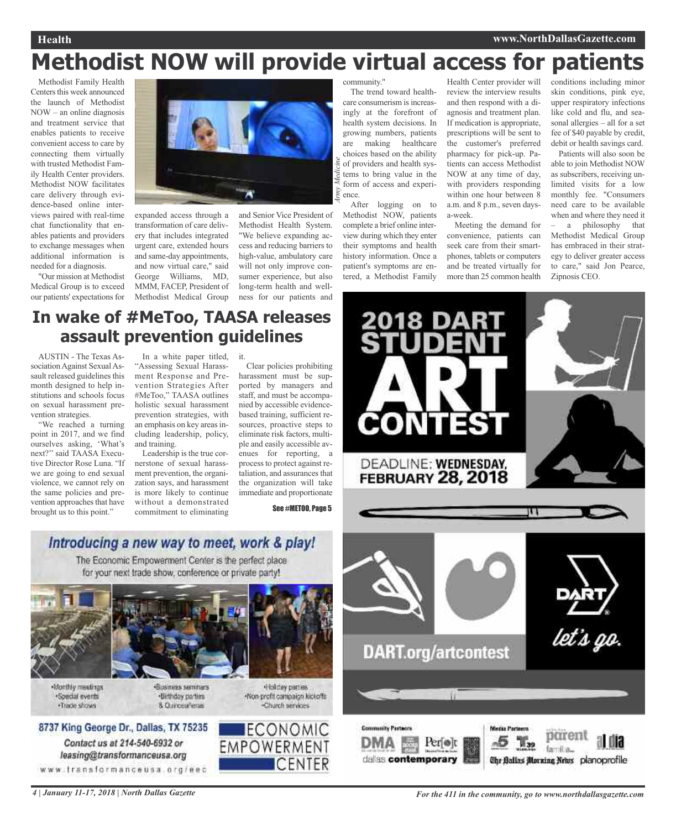#### **Health www.NorthDallasGazette.com**

# **Methodist NOW will provide virtual access for patients**

*Medicine*

Methodist Family Health Centers this week announced the launch of Methodist NOW – an online diagnosis and treatment service that enables patients to receive convenient access to care by connecting them virtually with trusted Methodist Family Health Center providers. Methodist NOW facilitates care delivery through evidence-based online interviews paired with real-time chat functionality that enables patients and providers to exchange messages when additional information is needed for a diagnosis.

"Our mission at Methodist Medical Group is to exceed our patients' expectations for



expanded access through a transformation of care delivery that includes integrated urgent care, extended hours and same-day appointments, and now virtual care," said George Williams, MD, MMM, FACEP, President of Methodist Medical Group

and Senior Vice President of Methodist Health System. "We believe expanding access and reducing barriers to high-value, ambulatory care will not only improve consumer experience, but also long-term health and wellness for our patients and

### community."

*Army* The trend toward healthcare consumerism is increasingly at the forefront of health system decisions. In growing numbers, patients are making healthcare choices based on the ability of providers and health systems to bring value in the form of access and experience.

After logging on to Methodist NOW, patients complete a brief online interview during which they enter their symptoms and health history information. Once a patient's symptoms are entered, a Methodist Family

Health Center provider will review the interview results and then respond with a diagnosis and treatment plan. If medication is appropriate, prescriptions will be sent to the customer's preferred pharmacy for pick-up. Patients can access Methodist NOW at any time of day, with providers responding within one hour between 8 a.m. and 8 p.m., seven daysa-week.

Meeting the demand for convenience, patients can seek care from their smartphones, tablets or computers and be treated virtually for more than 25 common health conditions including minor skin conditions, pink eye, upper respiratory infections like cold and flu, and seasonal allergies – all for a set fee of \$40 payable by credit, debit or health savings card.

Patients will also soon be able to join Methodist NOW as subscribers, receiving unlimited visits for a low monthly fee. "Consumers need care to be available when and where they need it – a philosophy that Methodist Medical Group has embraced in their strategy to deliver greater access to care," said Jon Pearce, Zipnosis CEO.

### **In wake of #MeToo, TAASA releases assault prevention guidelines**

AUSTIN - The Texas Association Against Sexual Assault released guidelines this month designed to help institutions and schools focus on sexual harassment prevention strategies.

"We reached a turning point in 2017, and we find ourselves asking, 'What's next?'' said TAASA Executive Director Rose Luna. "If we are going to end sexual violence, we cannot rely on the same policies and prevention approaches that have brought us to this point."

In a white paper titled, it.

"Assessing Sexual Harassment Response and Prevention Strategies After #MeToo," TAASA outlines holistic sexual harassment prevention strategies, with an emphasis on key areas including leadership, policy, and training.

Leadership is the true cornerstone of sexual harassment prevention, the organization says, and harassment is more likely to continue without a demonstrated commitment to eliminating

Clear policies prohibiting harassment must be supported by managers and staff, and must be accompanied by accessible evidencebased training, sufficient resources, proactive steps to eliminate risk factors, multiple and easily accessible avenues for reporting, a process to protect against retaliation, and assurances that the organization will take immediate and proportionate

See #METOO, Page 5



**CONTEST** 

DEADLINE: WEDNESDAY.

### The Economic Empowerment Center is the perfect place for your next trade show, conference or private party!



. Monthly meetings ·Special events ·Trade shows

**Business seminars** ·Birthday parties 8. Curicea Tenas

+Holday parties Non-profit campaign kickoffs -Church services





8737 King George Dr., Dallas, TX 75235

Contact us at 214-540-6932 or

leasing@transformanceusa.org

www.fransformanceusa.org/eec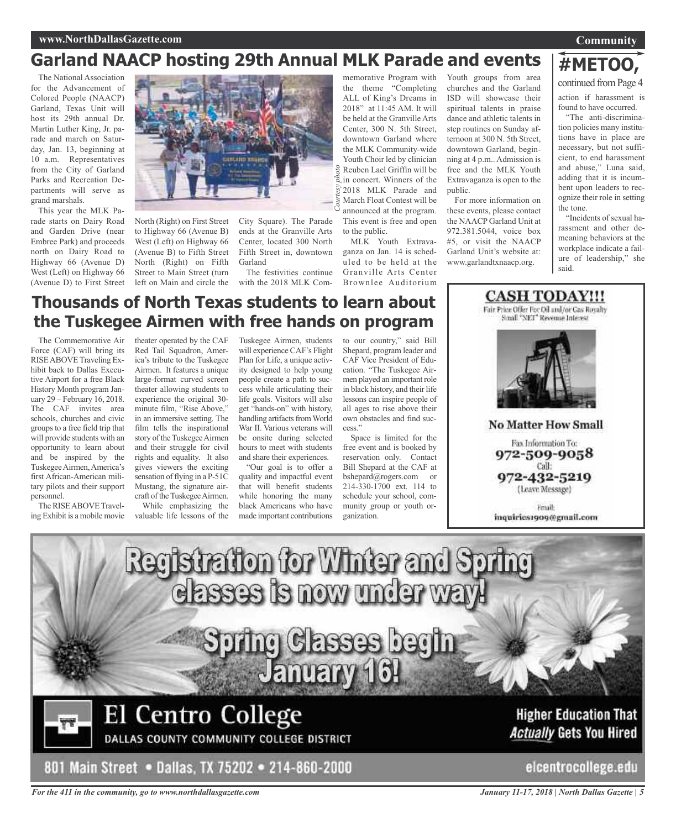#### **www.NorthDallasGazette.com**

### **Garland NAACP hosting 29th Annual MLK Parade and events**

The National Association for the Advancement of Colored People (NAACP) Garland, Texas Unit will host its 29th annual Dr. Martin Luther King, Jr. parade and march on Saturday, Jan. 13, beginning at 10 a.m. Representatives from the City of Garland Parks and Recreation Departments will serve as grand marshals.

This year the MLK Parade starts on Dairy Road and Garden Drive (near Embree Park) and proceeds north on Dairy Road to Highway 66 (Avenue D) West (Left) on Highway 66 (Avenue D) to First Street



North (Right) on First Street to Highway 66 (Avenue B) West (Left) on Highway 66 (Avenue B) to Fifth Street North (Right) on Fifth Street to Main Street (turn left on Main and circle the

City Square). The Parade ends at the Granville Arts Center, located 300 North Fifth Street in, downtown Garland

The festivities continue with the 2018 MLK Com-

<sup>9</sup>/<sub>2</sub> Reuben Lael Griffin will be<br>  $\frac{2}{3}$  in concert. Winners of the memorative Program with the theme "Completing ALL of King's Dreams in 2018" at 11:45 AM. It will be held at the Granville Arts Center, 300 N. 5th Street, downtown Garland where the MLK Community-wide Youth Choir led by clinician in concert. Winners of the 2018 MLK Parade and March Float Contest will be announced at the program. This event is free and open to the public.

MLK Youth Extravaganza on Jan. 14 is scheduled to be held at the Granville Arts Center Brownlee Auditorium

Youth groups from area churches and the Garland ISD will showcase their spiritual talents in praise dance and athletic talents in step routines on Sunday afternoon at 300 N. 5th Street, downtown Garland, beginning at 4 p.m.. Admission is free and the MLK Youth Extravaganza is open to the public.

For more information on these events, please contact the NAACP Garland Unit at 972.381.5044, voice box #5, or visit the NAACP Garland Unit's website at: www.garlandtxnaacp.org.

## **#METOO,**

**Community**

continued from Page 4

action if harassment is found to have occurred.

"The anti-discrimination policies many institutions have in place are necessary, but not sufficient, to end harassment and abuse," Luna said, adding that it is incumbent upon leaders to recognize their role in setting the tone.

"Incidents of sexual harassment and other demeaning behaviors at the workplace indicate a failure of leadership," she said.

### **Thousands of North Texas students to learn about the Tuskegee Airmen with free hands on program**

The Commemorative Air Force (CAF) will bring its RISE ABOVE Traveling Exhibit back to Dallas Executive Airport for a free Black History Month program January 29 – February 16, 2018. The CAF invites area schools, churches and civic groups to a free field trip that will provide students with an opportunity to learn about and be inspired by the TuskegeeAirmen,America's first African-American military pilots and their support personnel.

The RISE ABOVE Traveling Exhibit is a mobile movie

theater operated by the CAF Red Tail Squadron, America's tribute to the Tuskegee Airmen. It features a unique large-format curved screen theater allowing students to experience the original 30 minute film, "Rise Above," in an immersive setting. The film tells the inspirational story of the Tuskegee Airmen and their struggle for civil rights and equality. It also gives viewers the exciting sensation of flying in a P-51C Mustang, the signature aircraft of the Tuskegee Airmen.

While emphasizing the valuable life lessons of the

Tuskegee Airmen, students will experience CAF's Flight Plan for Life, a unique activity designed to help young people create a path to success while articulating their life goals. Visitors will also get "hands-on" with history, handling artifacts from World War II. Various veterans will be onsite during selected hours to meet with students and share their experiences.

"Our goal is to offer a quality and impactful event that will benefit students while honoring the many black Americans who have made important contributions

to our country," said Bill Shepard, program leader and CAF Vice President of Education. "The Tuskegee Airmen played an important role in black history, and their life lessons can inspire people of all ages to rise above their own obstacles and find success."

Space is limited for the free event and is booked by reservation only. Contact Bill Shepard at the CAF at bshepard@rogers.com or 214-330-1700 ext. 114 to schedule your school, community group or youth organization.



(Leave Message)

**CASH TODAY!!!** Fair Price Offer For Oil and/or Cas Royalty Small "NET" Revenue Interest

**Friall** inquiries1909@gmail.com



*For the 411 in the community, go to www.northdallasgazette.com*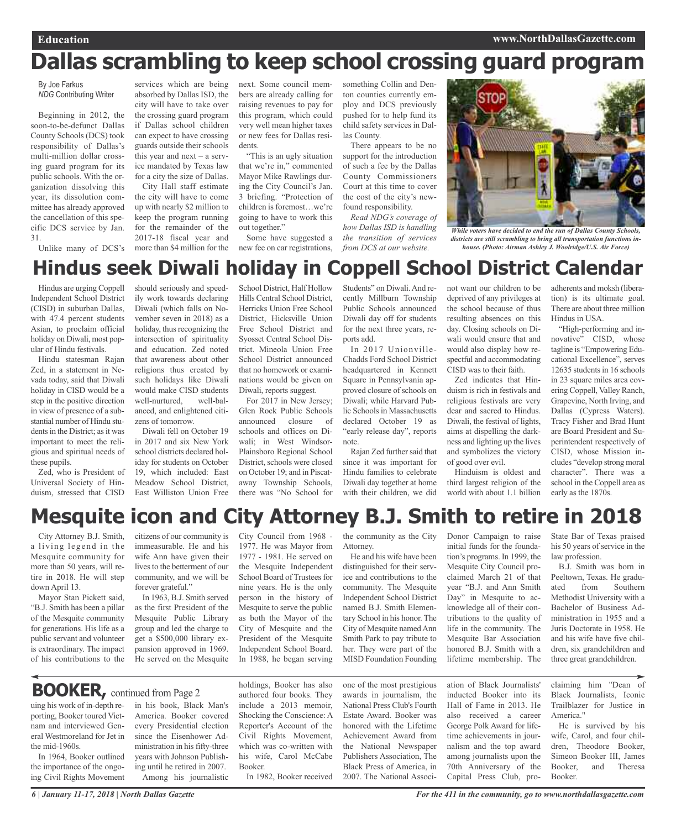# **Dallas scrambling to keep school crossing guard program**

By Joe Farkus *NDG* Contributing Writer

Beginning in 2012, the soon-to-be-defunct Dallas County Schools (DCS) took responsibility of Dallas's multi-million dollar crossing guard program for its public schools. With the organization dissolving this year, its dissolution committee has already approved the cancellation of this specific DCS service by Jan. 31.

Unlike many of DCS's

services which are being absorbed by Dallas ISD, the city will have to take over the crossing guard program if Dallas school children can expect to have crossing guards outside their schools this year and next – a service mandated by Texas law for a city the size of Dallas.

City Hall staff estimate the city will have to come up with nearly \$2 million to keep the program running for the remainder of the 2017-18 fiscal year and more than \$4 million for the next. Some council members are already calling for raising revenues to pay for this program, which could very well mean higher taxes or new fees for Dallas residents.

"This is an ugly situation that we're in," commented Mayor Mike Rawlings during the City Council's Jan. 3 briefing. "Protection of children is foremost…we're going to have to work this out together."

Some have suggested a new fee on car registrations, something Collin and Denton counties currently employ and DCS previously pushed for to help fund its child safety services in Dallas County.

There appears to be no support for the introduction of such a fee by the Dallas County Commissioners Court at this time to cover the cost of the city's newfound responsibility.

*Read NDG's coverage of how Dallas ISD is handling the transition of services from DCS at our website.*



*While voters have decided to end the run of Dallas County Schools, districts are still scrambling to bring all transportation functions inhouse. (Photo: Airman Ashley J. Woolridge/U.S. Air Force)*

## **Hindus seek Diwali holiday in Coppell School District Calendar**

Hindus are urging Coppell Independent School District (CISD) in suburban Dallas, with 47.4 percent students Asian, to proclaim official holiday on Diwali, most popular of Hindu festivals.

Hindu statesman Rajan Zed, in a statement in Nevada today, said that Diwali holiday in CISD would be a step in the positive direction in view of presence of a substantial number of Hindu students in the District; as it was important to meet the religious and spiritual needs of these pupils.

Zed, who is President of Universal Society of Hinduism, stressed that CISD should seriously and speedily work towards declaring Diwali (which falls on November seven in 2018) as a holiday, thus recognizing the intersection of spirituality and education. Zed noted that awareness about other religions thus created by such holidays like Diwali would make CISD students well-nurtured, well-balanced, and enlightened citizens of tomorrow.

Diwali fell on October 19 in 2017 and six New York school districts declared holiday for students on October 19, which included: East Meadow School District, East Williston Union Free School District, Half Hollow Hills Central School District, Herricks Union Free School District, Hicksville Union Free School District and Syosset Central School District. Mineola Union Free School District announced that no homework or examinations would be given on Diwali, reports suggest.

For 2017 in New Jersey; Glen Rock Public Schools announced closure of schools and offices on Diwali; in West Windsor-Plainsboro Regional School District, schools were closed on October 19; and in Piscataway Township Schools, there was "No School for

Students" on Diwali.And recently Millburn Township Public Schools announced Diwali day off for students for the next three years, reports add.

In 2017 Unionville-Chadds Ford School District headquartered in Kennett Square in Pennsylvania approved closure of schools on Diwali; while Harvard Public Schools in Massachusetts declared October 19 as "early release day", reports note.

Rajan Zed further said that since it was important for Hindu families to celebrate Diwali day together at home with their children, we did

not want our children to be deprived of any privileges at the school because of thus resulting absences on this day. Closing schools on Diwali would ensure that and would also display how respectful and accommodating CISD was to their faith.

Zed indicates that Hinduism is rich in festivals and religious festivals are very dear and sacred to Hindus. Diwali, the festival of lights, aims at dispelling the darkness and lighting up the lives and symbolizes the victory of good over evil.

Hinduism is oldest and third largest religion of the world with about 1.1 billion adherents and moksh (liberation) is its ultimate goal. There are about three million Hindus in USA.

"High-performing and innovative" CISD, whose tagline is "Empowering Educational Excellence", serves 12635 students in 16 schools in 23 square miles area covering Coppell, Valley Ranch, Grapevine, North Irving, and Dallas (Cypress Waters). Tracy Fisher and Brad Hunt are Board President and Superintendent respectively of CISD, whose Mission includes "develop strong moral character". There was a school in the Coppell area as early as the 1870s.

## **Mesquite icon and City Attorney B.J. Smith to retire in 2018**

City Attorney B.J. Smith, a living legend in the Mesquite community for more than 50 years, will retire in 2018. He will step down April 13.

Mayor Stan Pickett said, "B.J. Smith has been a pillar of the Mesquite community for generations. His life as a public servant and volunteer is extraordinary. The impact of his contributions to the

uing his work of in-depth reporting, Booker toured Vietnam and interviewed General Westmoreland for Jet in

In 1964, Booker outlined the importance of the ongoing Civil Rights Movement

the mid-1960s.

citizens of our community is immeasurable. He and his wife Ann have given their lives to the betterment of our community, and we will be forever grateful."

In 1963, B.J. Smith served as the first President of the Mesquite Public Library group and led the charge to get a \$500,000 library expansion approved in 1969. He served on the Mesquite

in his book, Black Man's America. Booker covered every Presidential election since the Eisenhower Administration in his fifty-three years with Johnson Publishing until he retired in 2007. Among his journalistic

City Council from 1968 - 1977. He was Mayor from 1977 - 1981. He served on the Mesquite Independent School Board of Trustees for nine years. He is the only person in the history of Mesquite to serve the public as both the Mayor of the City of Mesquite and the President of the Mesquite Independent School Board. In 1988, he began serving

Shocking the Conscience: A Reporter's Account of the Civil Rights Movement, which was co-written with his wife, Carol McCabe

In 1982, Booker received

Booker.

the community as the City Attorney.

He and his wife have been distinguished for their service and contributions to the community. The Mesquite Independent School District named B.J. Smith Elementary School in his honor. The City of Mesquite namedAnn Smith Park to pay tribute to her. They were part of the MISD Foundation Founding

Donor Campaign to raise initial funds for the foundation's programs. In 1999, the Mesquite City Council proclaimed March 21 of that year "B.J. and Ann Smith Day" in Mesquite to acknowledge all of their contributions to the quality of life in the community. The Mesquite Bar Association honored B.J. Smith with a lifetime membership. The

State Bar of Texas praised his 50 years of service in the law profession.

B.J. Smith was born in Peeltown, Texas. He graduated from Southern Methodist University with a Bachelor of Business Administration in 1955 and a Juris Doctorate in 1958. He and his wife have five children, six grandchildren and three great grandchildren.

holdings, Booker has also authored four books. They include a 2013 memoir, one of the most prestigious

awards in journalism, the National Press Club's Fourth Estate Award. Booker was honored with the Lifetime Achievement Award from the National Newspaper Publishers Association, The Black Press of America, in 2007. The National Association of Black Journalists' inducted Booker into its Hall of Fame in 2013. He also received a career George Polk Award for lifetime achievements in journalism and the top award among journalists upon the 70th Anniversary of the Capital Press Club, proclaiming him "Dean of Black Journalists, Iconic Trailblazer for Justice in America."

He is survived by his wife, Carol, and four children, Theodore Booker, Simeon Booker III, James Booker, and Theresa Booker.

**BOOKER,** continued from Page <sup>2</sup>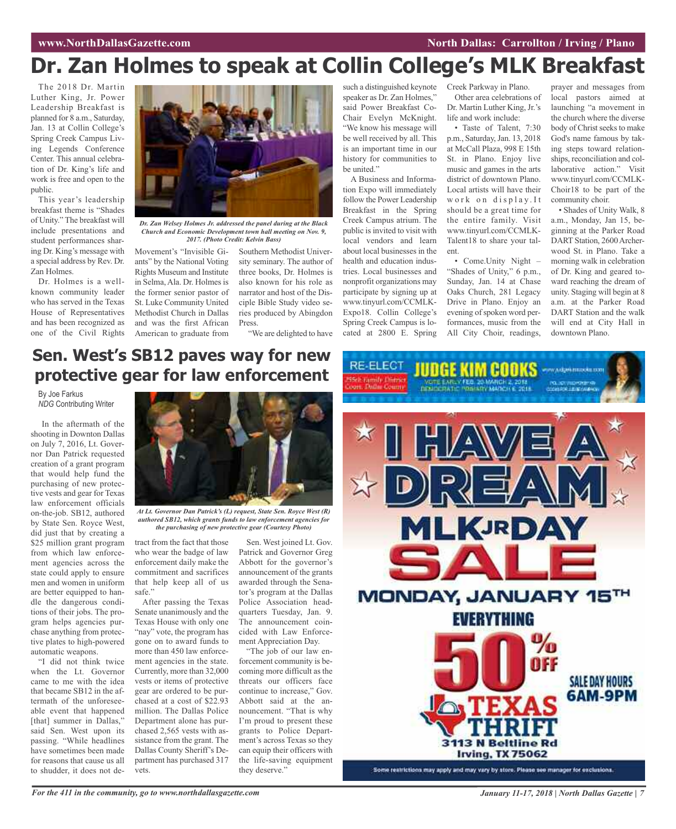## **Dr. Zan Holmes to speak at Collin College's MLK Breakfast**

The 2018 Dr. Martin Luther King, Jr. Power Leadership Breakfast is planned for 8 a.m., Saturday, Jan. 13 at Collin College's Spring Creek Campus Living Legends Conference Center. This annual celebration of Dr. King's life and work is free and open to the public.

This year's leadership breakfast theme is "Shades of Unity." The breakfast will include presentations and student performances sharing Dr. King's message with a special address by Rev. Dr. Zan Holmes.

Dr. Holmes is a wellknown community leader who has served in the Texas House of Representatives and has been recognized as one of the Civil Rights



*Dr. Zan Welsey Holmes Jr. addressed the panel during at the Black Church and Economic Development town hall meeting on Nov. 9, 2017. (Photo Credit: Kelvin Bass)*

Movement's "Invisible Giants" by the National Voting Rights Museum and Institute in Selma, Ala. Dr. Holmes is the former senior pastor of St. Luke Community United Methodist Church in Dallas and was the first African American to graduate from

Southern Methodist University seminary. The author of three books, Dr. Holmes is also known for his role as narrator and host of the Disciple Bible Study video series produced by Abingdon Press.

"We are delighted to have

such a distinguished keynote Creek Parkway in Plano. speaker as Dr. Zan Holmes," said Power Breakfast Co-Chair Evelyn McKnight. "We know his message will be well received by all. This is an important time in our history for communities to be united."

A Business and Information Expo will immediately follow the Power Leadership Breakfast in the Spring Creek Campus atrium. The public is invited to visit with local vendors and learn about local businesses in the health and education industries. Local businesses and nonprofit organizations may participate by signing up at www.tinyurl.com/CCMLK-Expo18. Collin College's Spring Creek Campus is located at 2800 E. Spring

Other area celebrations of Dr. Martin Luther King, Jr.'s life and work include:

• Taste of Talent, 7:30 p.m., Saturday,Jan. 13, 2018 at McCall Plaza, 998 E 15th St. in Plano. Enjoy live music and games in the arts district of downtown Plano. Local artists will have their work on display. It should be a great time for the entire family. Visit www.tinyurl.com/CCMLK-Talent18 to share your talent.

• Come.Unity Night – "Shades of Unity," 6 p.m., Sunday, Jan. 14 at Chase Oaks Church, 281 Legacy Drive in Plano. Enjoy an evening of spoken word performances, music from the All City Choir, readings,

prayer and messages from local pastors aimed at launching "a movement in the church where the diverse body of Christ seeks to make God's name famous by taking steps toward relationships, reconciliation and collaborative action." Visit www.tinyurl.com/CCMLK-Choir18 to be part of the community choir.

• Shades of Unity Walk, 8 a.m., Monday, Jan 15, beginning at the Parker Road DART Station, 2600 Archerwood St. in Plano. Take a morning walk in celebration of Dr. King and geared toward reaching the dream of unity. Staging will begin at 8 a.m. at the Parker Road DART Station and the walk will end at City Hall in downtown Plano.

### **Sen. West's SB12 paves way for new protective gear for law enforcement**

#### By Joe Farkus *NDG* Contributing Writer

In the aftermath of the shooting in Downton Dallas on July 7, 2016, Lt. Governor Dan Patrick requested creation of a grant program that would help fund the purchasing of new protective vests and gear for Texas law enforcement officials on-the-job. SB12, authored by State Sen. Royce West, did just that by creating a \$25 million grant program from which law enforcement agencies across the state could apply to ensure men and women in uniform are better equipped to handle the dangerous conditions of their jobs. The program helps agencies purchase anything from protective plates to high-powered automatic weapons.

"I did not think twice when the Lt. Governor came to me with the idea that became SB12 in the aftermath of the unforeseeable event that happened [that] summer in Dallas," said Sen. West upon its passing. "While headlines have sometimes been made for reasons that cause us all to shudder, it does not de-



*At Lt. Governor Dan Patrick's (L) request, State Sen. Royce West (R) authored SB12, which grants funds to law enforcement agencies for the purchasing of new protective gear (Courtesy Photo)*

tract from the fact that those who wear the badge of law enforcement daily make the commitment and sacrifices that help keep all of us safe."

After passing the Texas Senate unanimously and the Texas House with only one "nay" vote, the program has gone on to award funds to more than 450 law enforcement agencies in the state. Currently, more than 32,000 vests or items of protective gear are ordered to be purchased at a cost of \$22.93 million. The Dallas Police Department alone has purchased 2,565 vests with assistance from the grant. The Dallas County Sheriff's Department has purchased 317 vets.

Sen. West joined Lt. Gov. Patrick and Governor Greg Abbott for the governor's announcement of the grants awarded through the Senator's program at the Dallas Police Association headquarters Tuesday, Jan. 9. The announcement coincided with Law Enforcement Appreciation Day.

"The job of our law enforcement community is becoming more difficult as the threats our officers face continue to increase," Gov. Abbott said at the announcement. "That is why I'm proud to present these grants to Police Department's across Texas so they can equip their officers with the life-saving equipment they deserve."

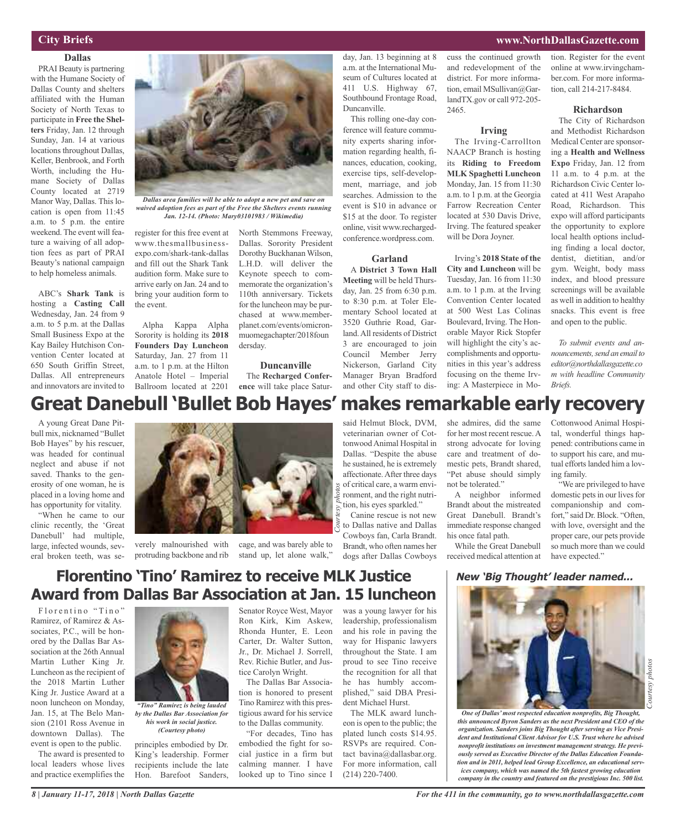#### **www.NorthDallasGazette.com**

#### **City Briefs**

**Dallas** PRAI Beauty is partnering with the Humane Society of Dallas County and shelters affiliated with the Human Society of North Texas to participate in **Free the Shelters** Friday, Jan. 12 through Sunday, Jan. 14 at various locations throughout Dallas, Keller, Benbrook, and Forth Worth, including the Humane Society of Dallas County located at 2719 Manor Way, Dallas. This location is open from 11:45 a.m. to 5 p.m. the entire weekend. The event will feature a waiving of all adoption fees as part of PRAI Beauty's national campaign to help homeless animals.

ABC's **Shark Tank** is hosting a **Casting Call** Wednesday, Jan. 24 from 9 a.m. to 5 p.m. at the Dallas Small Business Expo at the Kay Bailey Hutchison Convention Center located at 650 South Griffin Street, Dallas. All entrepreneurs and innovators are invited to



*Dallas area families will be able to adopt a new pet and save on waived adoption fees as part of the Free the Shelters events running Jan. 12-14. (Photo: Mary03101983 / Wikimedia)*

register for this free event at www.thesmallbusinessexpo.com/shark-tank-dallas and fill out the Shark Tank audition form. Make sure to arrive early on Jan. 24 and to bring your audition form to the event.

Alpha Kappa Alpha Sorority is holding its **2018 Founders Day Luncheon** Saturday, Jan. 27 from 11 a.m. to 1 p.m. at the Hilton Anatole Hotel – Imperial Ballroom located at 2201 North Stemmons Freeway, Dallas. Sorority President Dorothy Buckhanan Wilson, L.H.D. will deliver the Keynote speech to commemorate the organization's 110th anniversary. Tickets for the luncheon may be purchased at www.memberplanet.com/events/omicronmuomegachapter/2018foun dersday.

**Duncanville** The **Recharged Conference** will take place Saturday, Jan. 13 beginning at 8 a.m. at the International Museum of Cultures located at 411 U.S. Highway 67, Southbound Frontage Road, Duncanville.

This rolling one-day conference will feature community experts sharing information regarding health, finances, education, cooking, exercise tips, self-development, marriage, and job searches. Admission to the event is \$10 in advance or \$15 at the door. To register online, visit www.rechargedconference.wordpress.com.

#### **Garland**

A **District 3 Town Hall Meeting** will be held Thursday, Jan. 25 from 6:30 p.m. to 8:30 p.m. at Toler Elementary School located at 3520 Guthrie Road, Garland.All residents of District 3 are encouraged to join Council Member Jerry Nickerson, Garland City Manager Bryan Bradford and other City staff to discuss the continued growth and redevelopment of the district. For more information, email MSullivan@GarlandTX.gov or call 972-205- 2465.

#### **Irving**

The Irving-Carrollton NAACP Branch is hosting its **Riding to Freedom MLK Spaghetti Luncheon** Monday, Jan. 15 from 11:30 a.m. to 1 p.m. at the Georgia Farrow Recreation Center located at 530 Davis Drive, Irving. The featured speaker will be Dora Joyner.

Irving's **2018 State of the City and Luncheon** will be Tuesday, Jan. 16 from 11:30 a.m. to 1 p.m. at the Irving Convention Center located at 500 West Las Colinas Boulevard, Irving. The Honorable Mayor Rick Stopfer will highlight the city's accomplishments and opportunities in this year's address focusing on the theme Irving: A Masterpiece in Motion. Register for the event online at www.irvingchamber.com. For more information, call 214-217-8484.

#### **Richardson**

The City of Richardson and Methodist Richardson Medical Center are sponsoring a **Health and Wellness Expo** Friday, Jan. 12 from 11 a.m. to 4 p.m. at the Richardson Civic Center located at 411 West Arapaho Road, Richardson. This expo will afford participants the opportunity to explore local health options including finding a local doctor, dentist, dietitian, and/or gym. Weight, body mass index, and blood pressure screenings will be available as well in addition to healthy snacks. This event is free and open to the public.

*To submit events and announcements, send an email to editor@northdallasgazette.co m with headline Community Briefs.*

### **Great Danebull 'Bullet Bob Hayes' makes remarkable early recovery**

A young Great Dane Pitbull mix, nicknamed "Bullet Bob Hayes" by his rescuer, was headed for continual neglect and abuse if not saved. Thanks to the generosity of one woman, he is placed in a loving home and has opportunity for vitality.

"When he came to our clinic recently, the 'Great Danebull' had multiple, large, infected wounds, several broken teeth, was se-



verely malnourished with cage, and was barely able to

protruding backbone and rib stand up, let alone walk,"

#### said Helmut Block, DVM, veterinarian owner of CottonwoodAnimal Hospital in Dallas. "Despite the abuse he sustained, he is extremely affectionate.After three days of critical care, a warm environment, and the right nutrition, his eyes sparkled."

Canine rescue is not new to Dallas native and Dallas Cowboys fan, Carla Brandt. Brandt, who often names her dogs after Dallas Cowboys she admires, did the same for her most recent rescue.A strong advocate for loving care and treatment of domestic pets, Brandt shared, "Pet abuse should simply not be tolerated."

A neighbor informed Brandt about the mistreated Great Danebull. Brandt's immediate response changed his once fatal path.

While the Great Danebull received medical attention at

Cottonwood Animal Hospital, wonderful things happened: contributions came in to support his care, and mutual efforts landed him a loving family.

"We are privileged to have domestic pets in our lives for companionship and comfort," said Dr. Block. "Often, with love, oversight and the proper care, our pets provide so much more than we could have expected."

#### **New 'Big Thought' leader named...**



*Courtesy*

*photos*

### **Florentino 'Tino' Ramirez to receive MLK Justice Award from Dallas Bar Association at Jan. 15 luncheon**

Florentino "Tino" Ramirez, of Ramirez & Associates, P.C., will be honored by the Dallas Bar Association at the 26th Annual Martin Luther King Jr. Luncheon as the recipient of the 2018 Martin Luther King Jr. Justice Award at a noon luncheon on Monday, Jan. 15, at The Belo Mansion (2101 Ross Avenue in downtown Dallas). The event is open to the public.

The award is presented to local leaders whose lives and practice exemplifies the



*by the Dallas Bar Association for his work in social justice. (Courtesy photo)*

principles embodied by Dr. King's leadership. Former recipients include the late Hon. Barefoot Sanders,

Senator Royce West, Mayor Ron Kirk, Kim Askew, Rhonda Hunter, E. Leon Carter, Dr. Walter Sutton, Jr., Dr. Michael J. Sorrell, Rev. Richie Butler, and Justice Carolyn Wright.

The Dallas Bar Association is honored to present Tino Ramirez with this prestigious award for his service to the Dallas community.

"For decades, Tino has embodied the fight for social justice in a firm but calming manner. I have looked up to Tino since I

was a young lawyer for his leadership, professionalism and his role in paving the way for Hispanic lawyers throughout the State. I am proud to see Tino receive the recognition for all that he has humbly accomplished," said DBA President Michael Hurst.

The MLK award luncheon is open to the public; the plated lunch costs \$14.95. RSVPs are required. Contact bavina@dallasbar.org. For more information, call (214) 220-7400.

*this announced Byron Sanders as the next President and CEO of the organization. Sanders joins Big Thought after serving as Vice President and Institutional Client Advisor for U.S. Trust where he advised nonprofit institutions on investment management strategy. He previously served as Executive Director of the Dallas Education Foundation and in 2011, helped lead Group Excellence, an educational services company, which was named the 5th fastest growing education company in the country and featured on the prestigious Inc. 500 list.*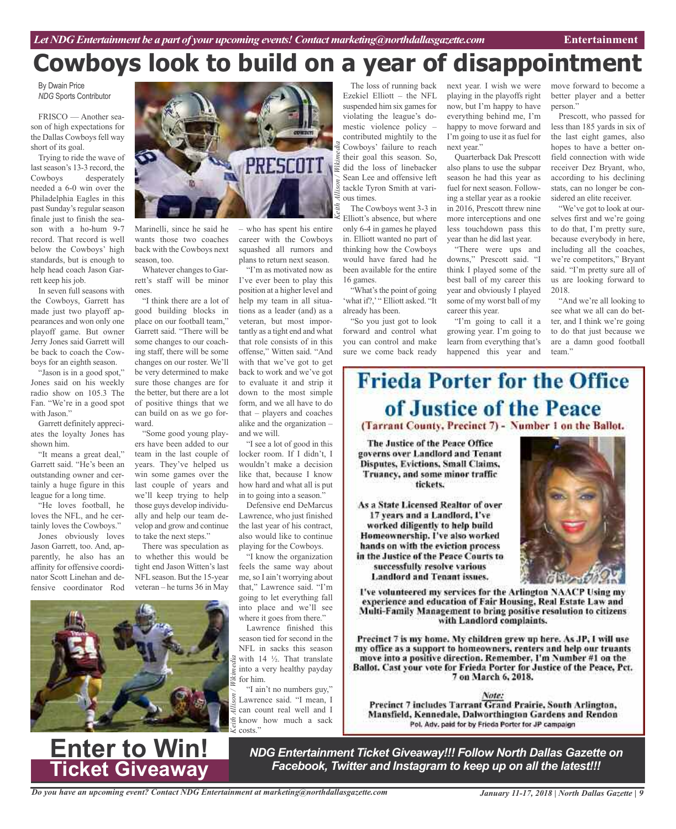# **Cowboys look to build on a year of disappointment**

By Dwain Price *NDG* Sports Contributor

FRISCO — Another season of high expectations for the Dallas Cowboys fell way short of its goal.

Trying to ride the wave of last season's 13-3 record, the Cowboys desperately needed a 6-0 win over the Philadelphia Eagles in this past Sunday's regular season finale just to finish the season with a ho-hum 9-7 record. That record is well below the Cowboys' high standards, but is enough to help head coach Jason Garrett keep his job.

In seven full seasons with the Cowboys, Garrett has made just two playoff appearances and won only one playoff game. But owner Jerry Jones said Garrett will be back to coach the Cowboys for an eighth season.

"Jason is in a good spot," Jones said on his weekly radio show on 105.3 The Fan. "We're in a good spot with Jason."

Garrett definitely appreciates the loyalty Jones has shown him.

"It means a great deal," Garrett said. "He's been an outstanding owner and certainly a huge figure in this league for a long time.

"He loves football, he loves the NFL, and he certainly loves the Cowboys."

Jones obviously loves Jason Garrett, too. And, apparently, he also has an affinity for offensive coordinator Scott Linehan and defensive coordinator Rod





Marinelli, since he said he wants those two coaches back with the Cowboys next season, too.

Whatever changes to Garrett's staff will be minor ones.

"I think there are a lot of good building blocks in place on our football team," Garrett said. "There will be some changes to our coaching staff, there will be some changes on our roster. We'll be very determined to make sure those changes are for the better, but there are a lot of positive things that we can build on as we go forward.

"Some good young players have been added to our team in the last couple of years. They've helped us win some games over the last couple of years and we'll keep trying to help those guys develop individually and help our team develop and grow and continue to take the next steps."

There was speculation as to whether this would be tight end Jason Witten's last NFLseason. But the 15-year veteran – he turns 36 in May

– who has spent his entire career with the Cowboys squashed all rumors and plans to return next season.

"I'm as motivated now as I've ever been to play this position at a higher level and help my team in all situations as a leader (and) as a veteran, but most importantly as a tight end and what that role consists of in this offense," Witten said. "And with that we've got to get back to work and we've got to evaluate it and strip it down to the most simple form, and we all have to do that – players and coaches alike and the organization – and we will.

"I see a lot of good in this locker room. If I didn't, I wouldn't make a decision like that, because I know how hard and what all is put in to going into a season."

Defensive end DeMarcus Lawrence, who just finished the last year of his contract, also would like to continue playing for the Cowboys.

"I know the organization feels the same way about me,so I ain't worrying about that," Lawrence said. "I'm going to let everything fall into place and we'll see where it goes from there."

Lawrence finished this season tied for second in the NFL in sacks this season with  $14 \frac{1}{2}$ . That translate into a very healthy payday for him.

"I ain't no numbers guy," Lawrence said. "I mean, I can count real well and I know how much a sack costs<sup>"</sup>

The loss of running back Ezekiel Elliott – the NFL suspended him six games for violating the league's domestic violence policy – contributed mightily to the Cowboys' failure to reach their goal this season. So, did the loss of linebacker Sean Lee and offensive left tackle Tyron Smith at various times.

The Cowboys went 3-3 in Elliott's absence, but where only 6-4 in games he played in. Elliott wanted no part of thinking how the Cowboys would have fared had he been available for the entire 16 games.

"What's the point of going 'what if?,' " Elliott asked. "It already has been.

"So you just got to look forward and control what you can control and make sure we come back ready

next year. I wish we were playing in the playoffs right now, but I'm happy to have everything behind me, I'm happy to move forward and I'm going to use it as fuel for next year."

Quarterback Dak Prescott also plans to use the subpar season he had this year as fuel for next season. Following a stellar year as a rookie in 2016, Prescott threw nine more interceptions and one less touchdown pass this year than he did last year.

"There were ups and downs," Prescott said. "I think I played some of the best ball of my career this year and obviously I played some of my worst ball of my career this year.

"I'm going to call it a growing year. I'm going to learn from everything that's happened this year and

move forward to become a better player and a better person."

Prescott, who passed for less than 185 yards in six of the last eight games, also hopes to have a better onfield connection with wide receiver Dez Bryant, who, according to his declining stats, can no longer be considered an elite receiver.

"We've got to look at ourselves first and we're going to do that, I'm pretty sure, because everybody in here, including all the coaches, we're competitors," Bryant said. "I'm pretty sure all of us are looking forward to 2018.

"And we're all looking to see what we all can do better, and I think we're going to do that just because we are a damn good football team."

# **Frieda Porter for the Office** of Justice of the Peace

(Tarrant County, Precinct 7) - Number 1 on the Ballot.

The Justice of the Peace Office governs over Landlord and Tenant **Disputes, Evictions, Small Claims,** Truancy, and some minor traffic tickets.

As a State Licensed Realtor of over 17 years and a Landlord, I've worked diligently to help build Homeownership. I've also worked hands on with the eviction process in the Justice of the Peace Courts to successfully resolve various **Landlord and Tenant issues.** 



I've volunteered my services for the Arlington NAACP Using my experience and education of Fair Housing, Real Estate Law and Multi-Family Management to bring positive resolution to citizens with Landlord complaints.

Precinct 7 is my home. My children grew up here. As JP, I will use my office as a support to homeowners, renters and help our truants move into a positive direction. Remember, I'm Number #1 on the Ballot. Cast your vote for Frieda Porter for Justice of the Peace, Pct. 7 on March 6, 2018.

Note: Precinct 7 includes Tarrant Grand Prairie, South Arlington, Mansfield, Kennedale, Dalworthington Gardens and Rendon Pol. Adv. paid for by Frieda Porter for JP campaign

**Enter to Win! Ticket Giveaway**

*NDG Entertainment Ticket Giveaway!!! Follow North Dallas Gazette on Facebook, Twitter and Instagram to keep up on all the latest!!!*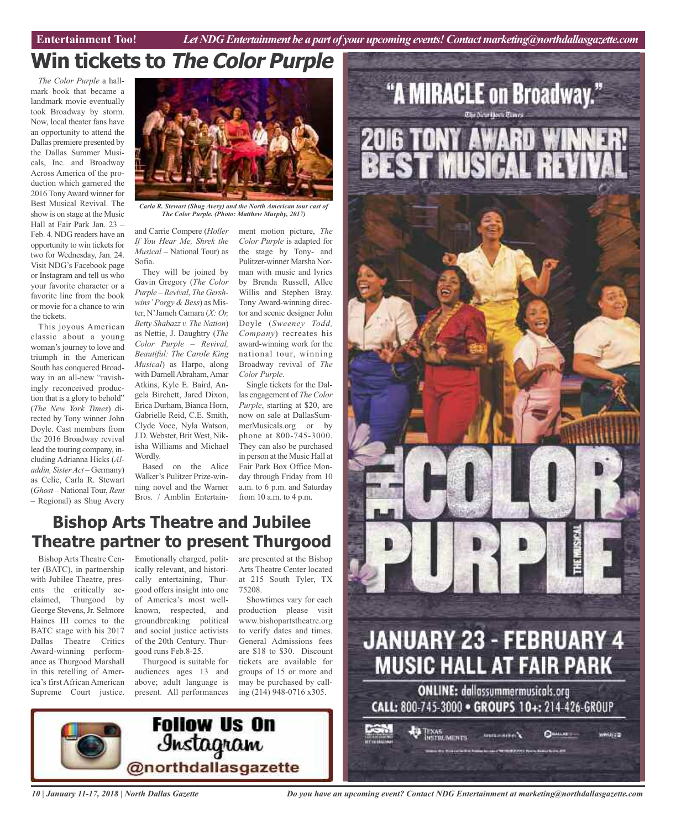**Car Review Entertainment Too!** *Let NDG Entertainment be a part of your upcoming events!Contactmarketing@northdallasgazette.com*

"A MIRACLE on Broadway."

**2016 TONY AWARD WI<br>BEST MUSICAL RE** 

## **Win tickets to The Color Purple**

*The Color Purple* a hallmark book that became a landmark movie eventually took Broadway by storm. Now, local theater fans have an opportunity to attend the Dallas premiere presented by the Dallas Summer Musicals, Inc. and Broadway Across America of the production which garnered the 2016 TonyAward winner for Best Musical Revival. The show is on stage at the Music Hall at Fair Park Jan. 23 – Feb. 4. NDG readers have an opportunity to win tickets for two for Wednesday, Jan. 24. Visit NDG's Facebook page or Instagram and tell us who your favorite character or a favorite line from the book or movie for a chance to win the tickets.

This joyous American classic about a young woman'sjourney to love and triumph in the American South has conquered Broadway in an all-new "ravishingly reconceived production that is a glory to behold" (*The New York Times*) directed by Tony winner John Doyle. Cast members from the 2016 Broadway revival lead the touring company, including Adrianna Hicks (*Aladdin, Sister Act* – Germany) as Celie, Carla R. Stewart (*Ghost* – National Tour, *Rent* – Regional) as Shug Avery



*Carla R. Stewart (Shug Avery) and the North American tour cast of The Color Purple. (Photo: Matthew Murphy, 2017)*

and Carrie Compere (*Holler If You Hear Me, Shrek the Musical* – National Tour) as Sofia.

They will be joined by Gavin Gregory (*The Color Purple – Revival*, *The Gershwins' Porgy & Bess*) as Mister, N'Jameh Camara (*X: Or, Betty Shabazz v. The Nation*) as Nettie, J. Daughtry (*The Color Purple – Revival, Beautiful: The Carole King Musical*) as Harpo, along with Darnell Abraham, Amar Atkins, Kyle E. Baird, Angela Birchett, Jared Dixon, Erica Durham, Bianca Horn, Gabrielle Reid, C.E. Smith, Clyde Voce, Nyla Watson, J.D. Webster, Brit West, Nikisha Williams and Michael Wordly.

Based on the Alice Walker's Pulitzer Prize-winning novel and the Warner Bros. / Amblin Entertain-

ment motion picture, *The Color Purple* is adapted for the stage by Tony- and Pulitzer-winner Marsha Norman with music and lyrics by Brenda Russell, Allee Willis and Stephen Bray. Tony Award-winning director and scenic designer John Doyle (*Sweeney Todd, Company*) recreates his award-winning work for the national tour, winning Broadway revival of *The Color Purple*.

Single tickets for the Dallas engagement of *The Color Purple*, starting at \$20, are now on sale at DallasSummerMusicals.org or by phone at 800-745-3000. They can also be purchased in person at the Music Hall at Fair Park Box Office Monday through Friday from 10 a.m. to 6 p.m. and Saturday from 10 a.m. to 4 p.m.

### **Bishop Arts Theatre and Jubilee Theatre partner to present Thurgood**

Bishop Arts Theatre Center (BATC), in partnership with Jubilee Theatre, presents the critically acclaimed, Thurgood by George Stevens, Jr. Selmore Haines III comes to the BATC stage with his 2017 Dallas Theatre Critics Award-winning performance as Thurgood Marshall in this retelling of America's first African American Supreme Court justice.

Emotionally charged, politically relevant, and historically entertaining, Thurgood offers insight into one of America's most wellknown, respected, and groundbreaking political and social justice activists of the 20th Century. Thurgood runs Feb.8-25.

Thurgood is suitable for audiences ages 13 and above; adult language is present. All performances

are presented at the Bishop Arts Theatre Center located at 215 South Tyler, TX 75208.

Showtimes vary for each production please visit www.bishopartstheatre.org to verify dates and times. General Admissions fees are \$18 to \$30. Discount tickets are available for groups of 15 or more and may be purchased by calling (214) 948-0716 x305.



Texas<br>Instruments:

**JANUARY 23 - FEBRUARY 4** 

**MUSIC HALL AT FAIR PARK** 

**ONLINE: dallassummermusicals.org** CALL: 800-745-3000 · GROUPS 10+: 214-426-GROUP

> **Seulte-Arkel C** or with a finance and any 100 000 P. P.O. From a body of the pro-20

**Quantity** 

www.nicip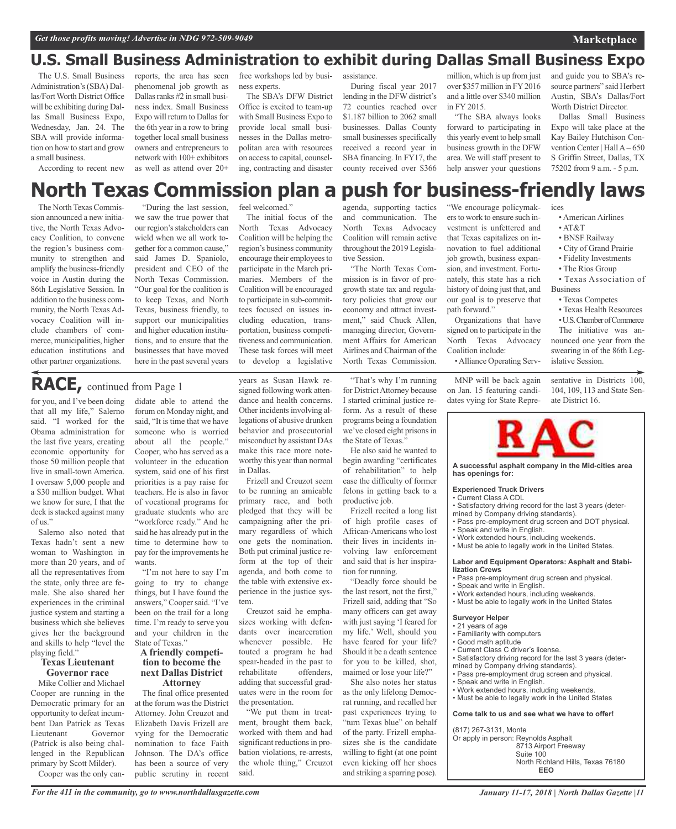### **U.S. Small Business Administration to exhibit during Dallas Small Business Expo**

The U.S. Small Business Administration's(SBA) Dallas/Fort Worth District Office will be exhibiting during Dallas Small Business Expo, Wednesday, Jan. 24. The SBA will provide information on how to start and grow a small business.

According to recent new

reports, the area has seen phenomenal job growth as Dallas ranks #2 in small business index. Small Business Expo will return to Dallas for the 6th year in a row to bring together local small business owners and entrepreneurs to network with 100+ exhibitors as well as attend over 20+

free workshops led by business experts.

The SBA's DFW District Office is excited to team-up with Small Business Expo to provide local small businesses in the Dallas metropolitan area with resources on accessto capital, counseling, contracting and disaster

assistance.

During fiscal year 2017 lending in the DFW district's 72 counties reached over \$1.187 billion to 2062 small businesses. Dallas County small businesses specifically received a record year in SBA financing. In FY17, the county received over \$366 million, which is up from just over \$357 million in FY2016 and a little over \$340 million in FY 2015.

"The SBA always looks forward to participating in this yearly event to help small business growth in the DFW area. We will staff present to help answer your questions

and guide you to SBA's resource partners" said Herbert Austin, SBA's Dallas/Fort Worth District Director.

Dallas Small Business Expo will take place at the Kay Bailey Hutchison Convention Center | Hall A – 650 S Griffin Street, Dallas, TX 75202 from 9 a.m. - 5 p.m.

#### **North Texas Commission plan a push for business-friendly laws** agenda, supporting tactics ices

The North Texas Commission announced a new initiative, the North Texas Advocacy Coalition, to convene the region's business community to strengthen and amplify the business-friendly voice in Austin during the 86th Legislative Session. In addition to the business community, the North Texas Advocacy Coalition will include chambers of commerce, municipalities, higher education institutions and other partner organizations.

"During the last session, we saw the true power that our region's stakeholders can wield when we all work together for a common cause," said James D. Spaniolo, president and CEO of the North Texas Commission. "Our goal for the coalition is to keep Texas, and North Texas, business friendly, to support our municipalities and higher education institutions, and to ensure that the businesses that have moved here in the past several years

#### feel welcomed."

The initial focus of the North Texas Advocacy Coalition will be helping the region's business community encourage their employees to participate in the March primaries. Members of the Coalition will be encouraged to participate in sub-committees focused on issues including education, transportation, business competitiveness and communication. These task forces will meet to develop a legislative

### **RACE,** continued from Page <sup>1</sup>

for you, and I've been doing that all my life," Salerno said. "I worked for the Obama administration for the last five years, creating economic opportunity for those 50 million people that live in small-town America. I oversaw 5,000 people and a \$30 million budget. What we know for sure, I that the deck is stacked against many of us."

Salerno also noted that Texas hadn't sent a new woman to Washington in more than 20 years, and of all the representatives from the state, only three are female. She also shared her experiences in the criminal justice system and starting a business which she believes gives her the background and skills to help "level the playing field."

#### **Texas Lieutenant Governor race**

Mike Collier and Michael Cooper are running in the Democratic primary for an opportunity to defeat incumbent Dan Patrick as Texas Lieutenant Governor (Patrick is also being challenged in the Republican primary by Scott Milder).

Cooper was the only can-

didate able to attend the forum on Monday night, and said, "It is time that we have someone who is worried about all the people." Cooper, who has served as a volunteer in the education system, said one of his first priorities is a pay raise for teachers. He is also in favor of vocational programs for graduate students who are "workforce ready." And he said he has already put in the time to determine how to pay for the improvements he wants.

"I'm not here to say I'm going to try to change things, but I have found the answers," Coopersaid. "I've been on the trail for a long time. I'm ready to serve you and your children in the State of Texas."

### **<sup>A</sup> friendly competi- tion to become the next Dallas District Attorney**

The final office presented at the forum was the District Attorney. John Creuzot and Elizabeth Davis Frizell are vying for the Democratic nomination to face Faith Johnson. The DA's office has been a source of very public scrutiny in recent

years as Susan Hawk resigned following work attendance and health concerns. Other incidents involving allegations of abusive drunken behavior and prosecutorial misconduct by assistant DAs make this race more noteworthy this year than normal in Dallas.

Frizell and Creuzot seem to be running an amicable primary race, and both pledged that they will be campaigning after the primary regardless of which one gets the nomination. Both put criminal justice reform at the top of their agenda, and both come to the table with extensive experience in the justice system.

Creuzot said he emphasizes working with defendants over incarceration whenever possible. He touted a program he had spear-headed in the past to rehabilitate offenders, adding that successful graduates were in the room for the presentation.

"We put them in treatment, brought them back, worked with them and had significant reductions in probation violations, re-arrests, the whole thing," Creuzot said.

and communication. The North Texas Advocacy Coalition will remain active throughout the 2019 Legislative Session. "The North Texas Com-

mission is in favor of progrowth state tax and regulatory policies that grow our economy and attract investment," said Chuck Allen, managing director, Government Affairs for American Airlines and Chairman of the North Texas Commission.

"That's why I'm running for DistrictAttorney because I started criminal justice reform. As a result of these programs being a foundation we've closed eight prisons in the State of Texas."

He also said he wanted to begin awarding "certificates of rehabilitation" to help ease the difficulty of former felons in getting back to a productive job.

Frizell recited a long list of high profile cases of African-Americans who lost their lives in incidents involving law enforcement and said that is her inspiration for running.

"Deadly force should be the last resort, not the first," Frizell said, adding that "So many officers can get away with just saying 'I feared for my life.' Well, should you have feared for your life? Should it be a death sentence for you to be killed, shot, maimed or lose your life?"

She also notes her status as the only lifelong Democrat running, and recalled her past experiences trying to "turn Texas blue" on behalf of the party. Frizell emphasizes she is the candidate willing to fight (at one point even kicking off her shoes and striking a sparring pose).

"We encourage policymakers to work to ensure such investment is unfettered and that Texas capitalizes on innovation to fuel additional job growth, business expansion, and investment. Fortunately, this state has a rich history of doing just that, and our goal is to preserve that path forward."

Organizations that have signed on to participate in the North Texas Advocacy Coalition include:

•Alliance Operating Serv-

MNP will be back again on Jan. 15 featuring candidates vying for State Repre-

#### • American Airlines

- $\bullet$  AT $\&$ T
- BNSF Railway • City of Grand Prairie
- Fidelity Investments
- The Rios Group

• Texas Association of **Business** 

- Texas Competes
- Texas Health Resources
- U.S. Chamber of Commerce The initiative was an-

nounced one year from the swearing in of the 86th Legislative Session.

sentative in Districts 100, 104, 109, 113 and State Senate District 16.



**A successful asphalt company in the Mid-cities area has openings for:**

#### **Experienced Truck Drivers**

• Current Class A CDL • Satisfactory driving record for the last 3 years (deter-

- mined by Company driving standards). • Pass pre-employment drug screen and DOT physical.
- Speak and write in English.
- Work extended hours, including weekends.
- Must be able to legally work in the United States.
- 

#### **Labor and Equipment Operators: Asphalt and Stabilization Crews**

- Pass pre-employment drug screen and physical.
- Speak and write in English.
- Work extended hours, including weekends.
- Must be able to legally work in the United States

#### **Surveyor Helper**

- 21 years of age
- Familiarity with computers
- Good math aptitude • Current Class C driver's license.
- 
- Satisfactory driving record for the last 3 years (deter-
- mined by Company driving standards).
- Pass pre-employment drug screen and physical.
- Speak and write in English.
- Work extended hours, including weekends.
- Must be able to legally work in the United States

**Come talk to us and see what we have to offer!**

(817) 267-3131, Monte

Or apply in person: Reynolds Asphalt 8713 Airport Freeway Suite 100 North Richland Hills, Texas 76180 **EEO**

*For the 411 in the community, go to www.northdallasgazette.com*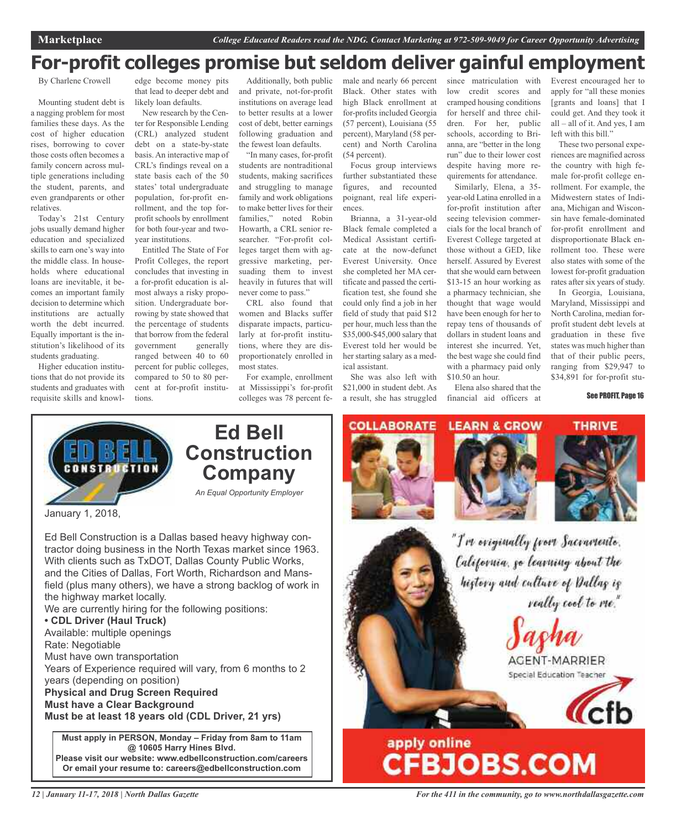### **For-profit colleges promise but seldom deliver gainful employment**

By Charlene Crowell

Mounting student debt is a nagging problem for most families these days. As the cost of higher education rises, borrowing to cover those costs often becomes a family concern across multiple generations including the student, parents, and even grandparents or other relatives.

Today's 21st Century jobs usually demand higher education and specialized skills to earn one's way into the middle class. In households where educational loans are inevitable, it becomes an important family decision to determine which institutions are actually worth the debt incurred. Equally important is the institution's likelihood of its students graduating.

Higher education institutions that do not provide its students and graduates with requisite skills and knowl-

edge become money pits that lead to deeper debt and likely loan defaults.

New research by the Center for Responsible Lending (CRL) analyzed student debt on a state-by-state basis. An interactive map of CRL's findings reveal on a state basis each of the 50 states' total undergraduate population, for-profit enrollment, and the top forprofit schools by enrollment for both four-year and twoyear institutions.

Entitled The State of For Profit Colleges, the report concludes that investing in a for-profit education is almost always a risky proposition. Undergraduate borrowing by state showed that the percentage of students that borrow from the federal government generally ranged between 40 to 60 percent for public colleges, compared to 50 to 80 percent at for-profit institutions.

Additionally, both public and private, not-for-profit institutions on average lead to better results at a lower cost of debt, better earnings following graduation and the fewest loan defaults.

"In many cases, for-profit students are nontraditional students, making sacrifices and struggling to manage family and work obligations to make better lives for their families," noted Robin Howarth, a CRL senior researcher. "For-profit colleges target them with aggressive marketing, persuading them to invest heavily in futures that will never come to pass."

CRL also found that women and Blacks suffer disparate impacts, particularly at for-profit institutions, where they are disproportionately enrolled in most states.

For example, enrollment at Mississippi's for-profit colleges was 78 percent female and nearly 66 percent Black. Other states with high Black enrollment at for-profits included Georgia (57 percent), Louisiana (55 percent), Maryland (58 percent) and North Carolina (54 percent).

Focus group interviews further substantiated these figures, and recounted poignant, real life experiences.

Brianna, a 31-year-old Black female completed a Medical Assistant certificate at the now-defunct Everest University. Once she completed her MA certificate and passed the certification test, she found she could only find a job in her field of study that paid \$12 per hour, much less than the \$35,000-\$45,000 salary that Everest told her would be her starting salary as a medical assistant.

She was also left with \$21,000 in student debt. As a result, she has struggled

since matriculation with low credit scores and cramped housing conditions for herself and three children. For her, public schools, according to Brianna, are "better in the long run" due to their lower cost despite having more requirements for attendance.

Similarly, Elena, a 35 year-old Latina enrolled in a for-profit institution after seeing television commercials for the local branch of Everest College targeted at those without a GED, like herself. Assured by Everest that she would earn between \$13-15 an hour working as a pharmacy technician, she thought that wage would have been enough for her to repay tens of thousands of dollars in student loans and interest she incurred. Yet, the best wage she could find with a pharmacy paid only \$10.50 an hour.

Elena also shared that the financial aid officers at

Everest encouraged her to apply for "all these monies [grants and loans] that I could get. And they took it all – all of it. And yes, I am left with this bill."

These two personal experiences are magnified across the country with high female for-profit college enrollment. For example, the Midwestern states of Indiana, Michigan and Wisconsin have female-dominated for-profit enrollment and disproportionate Black enrollment too. These were also states with some of the lowest for-profit graduation rates after six years of study.

In Georgia, Louisiana, Maryland, Mississippi and North Carolina, median forprofit student debt levels at graduation in these five states was much higher than that of their public peers, ranging from \$29,947 to \$34,891 for for-profit stu-

See PROFIT, Page 16



January 1, 2018,

Ed Bell Construction is a Dallas based heavy highway contractor doing business in the North Texas market since 1963. With clients such as TxDOT, Dallas County Public Works, and the Cities of Dallas, Fort Worth, Richardson and Mansfield (plus many others), we have a strong backlog of work in the highway market locally.

We are currently hiring for the following positions:

#### **• CDL Driver (Haul Truck)** Available: multiple openings

Rate: Negotiable Must have own transportation Years of Experience required will vary, from 6 months to 2 years (depending on position) **Physical and Drug Screen Required Must have a Clear Background Must be at least 18 years old (CDL Driver, 21 yrs)**

**Must apply in PERSON, Monday – Friday from 8am to 11am @ 10605 Harry Hines Blvd. Please visit our website: www.edbellconstruction.com/careers Or email your resume to: careers@edbellconstruction.com**

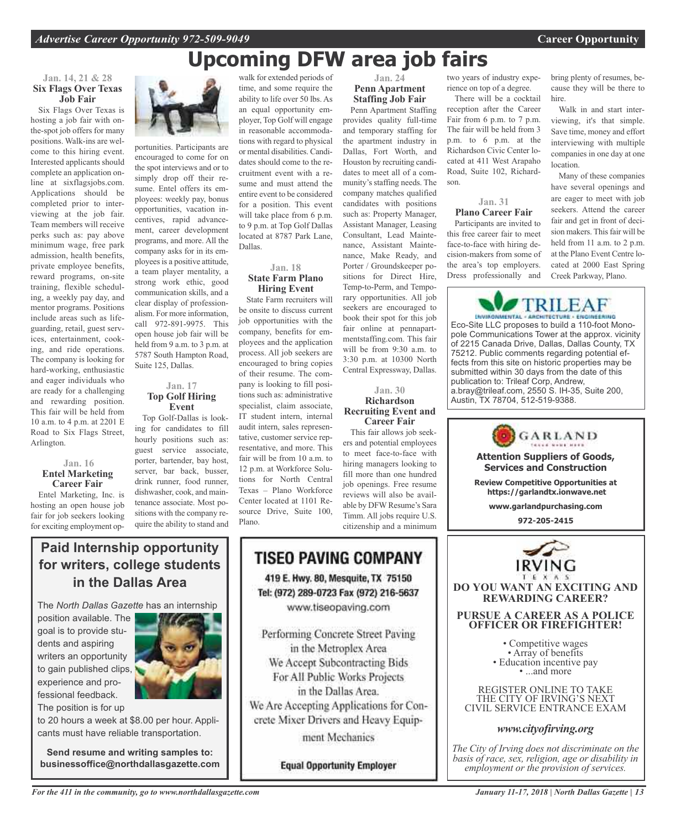## **Upcoming DFW area job fairs**

#### **Jan. 14, 21 & 28 Six Flags Over Texas Job Fair**

Six Flags Over Texas is hosting a job fair with onthe-spot job offers for many positions. Walk-ins are welcome to this hiring event. Interested applicants should complete an application online at sixflagsjobs.com. Applications should be completed prior to interviewing at the job fair. Team members will receive perks such as: pay above minimum wage, free park admission, health benefits, private employee benefits, reward programs, on-site training, flexible scheduling, a weekly pay day, and mentor programs. Positions include areas such as lifeguarding, retail, guest services, entertainment, cooking, and ride operations. The company is looking for hard-working, enthusiastic and eager individuals who are ready for a challenging and rewarding position. This fair will be held from 10 a.m. to 4 p.m. at 2201 E Road to Six Flags Street, Arlington.

#### **Jan. 16 Entel Marketing Career Fair**

Entel Marketing, Inc. is hosting an open house job fair for job seekers looking for exciting employment op-



portunities. Participants are encouraged to come for on the spot interviews and or to simply drop off their resume. Entel offers its employees: weekly pay, bonus opportunities, vacation incentives, rapid advancement, career development programs, and more. All the company asks for in its employees is a positive attitude, a team player mentality, a strong work ethic, good communication skills, and a clear display of professionalism. For more information, call 972-891-9975. This open house job fair will be held from 9 a.m. to 3 p.m. at 5787 South Hampton Road, Suite 125, Dallas.

#### **Jan. 17 Top Golf Hiring Event**

Top Golf-Dallas is looking for candidates to fill hourly positions such as: guest service associate, porter, bartender, bay host, server, bar back, busser, drink runner, food runner, dishwasher, cook, and maintenance associate. Most positions with the company require the ability to stand and

walk for extended periods of time, and some require the ability to life over 50 lbs. As an equal opportunity employer, Top Golf will engage in reasonable accommodations with regard to physical or mental disabilities. Candidates should come to the recruitment event with a resume and must attend the entire event to be considered for a position. This event will take place from 6 p.m. to 9 p.m. at Top Golf Dallas located at 8787 Park Lane, Dallas.

#### **Jan. 18 State Farm Plano Hiring Event**

State Farm recruiters will be onsite to discuss current job opportunities with the company, benefits for employees and the application process. All job seekers are encouraged to bring copies of their resume. The company is looking to fill positions such as: administrative specialist, claim associate, IT student intern, internal audit intern, sales representative, customer service representative, and more. This fair will be from 10 a.m. to 12 p.m. at Workforce Solutions for North Central Texas – Plano Workforce Center located at 1101 Resource Drive, Suite 100, Plano.

#### **Jan. 24 Penn Apartment Staffing Job Fair**

Penn Apartment Staffing provides quality full-time and temporary staffing for the apartment industry in Dallas, Fort Worth, and Houston by recruiting candidates to meet all of a community's staffing needs. The company matches qualified candidates with positions such as: Property Manager, Assistant Manager, Leasing Consultant, Lead Maintenance, Assistant Maintenance, Make Ready, and Porter / Groundskeeper positions for Direct Hire, Temp-to-Perm, and Temporary opportunities. All job seekers are encouraged to book their spot for this job fair online at pennapartmentstaffing.com. This fair will be from 9:30 a.m. to 3:30 p.m. at 10300 North Central Expressway, Dallas.

#### **Jan. 30 Richardson Recruiting Event and Career Fair**

This fair allows job seekers and potential employees to meet face-to-face with hiring managers looking to fill more than one hundred job openings. Free resume reviews will also be available by DFW Resume's Sara Timm. All jobs require U.S. citizenship and a minimum

two years of industry experience on top of a degree.

There will be a cocktail reception after the Career Fair from 6 p.m. to 7 p.m. The fair will be held from 3 p.m. to 6 p.m. at the Richardson Civic Center located at 411 West Arapaho Road, Suite 102, Richardson.

#### **Jan. 31 Plano Career Fair**

Participants are invited to this free career fair to meet face-to-face with hiring decision-makers from some of the area's top employers. Dress professionally and bring plenty of resumes, because they will be there to hire.

Walk in and start interviewing, it's that simple. Save time, money and effort interviewing with multiple companies in one day at one location.

Many of these companies have several openings and are eager to meet with job seekers. Attend the career fair and get in front of decision makers. This fair will be held from 11 a.m. to 2 p.m. at the Plano Event Centre located at 2000 East Spring Creek Parkway, Plano.



Eco-Site LLC proposes to build a 110-foot Monopole Communications Tower at the approx. vicinity of 2215 Canada Drive, Dallas, Dallas County, TX 75212. Public comments regarding potential effects from this site on historic properties may be submitted within 30 days from the date of this publication to: Trileaf Corp, Andrew, a.bray@trileaf.com, 2550 S. IH-35, Suite 200, Austin, TX 78704, 512-519-9388.

GARLAND **Attention Suppliers of Goods, Services and Construction Review Competitive Opportunities at https://garlandtx.ionwave.net www.garlandpurchasing.com 972-205-2415**



**DO YOU WANT AN EXCITING AND REWARDING CAREER?**

#### **PURSUE A CAREER AS A POLICE OFFICER OR FIREFIGHTER!**

• Competitive wages<br>• Array of benefits<br>• Education incentive pay<br>• ...and more

REGISTER ONLINE TO TAKE THE CITY OF IRVING'S NEXT CIVIL SERVICE ENTRANCE EXAM

#### *www.cityofirving.org*

*The City of Irving does not discriminate on the basis of race, sex, religion, age or disability in employment or the provision of services.*

### **Paid Internship opportunity for writers, college students in the Dallas Area**

The *North Dallas Gazette* has an internship

position available. The goal is to provide students and aspiring writers an opportunity to gain published clips, experience and professional feedback. The position is for up



to 20 hours a week at \$8.00 per hour. Applicants must have reliable transportation.

**Send resume and writing samples to: businessoffice@northdallasgazette.com**

### 419 E. Hwy. 80, Mesquite, TX 75150 Tel: (972) 289-0723 Fax (972) 216-5637 www.tiseopaving.com Performing Concrete Street Paving in the Metroplex Area

**TISEO PAVING COMPANY** 

We Accept Subcontracting Bids For All Public Works Projects in the Dallas Area. We Are Accepting Applications for Concrete Mixer Drivers and Heavy Equipment Mechanics

**Equal Opportunity Employer**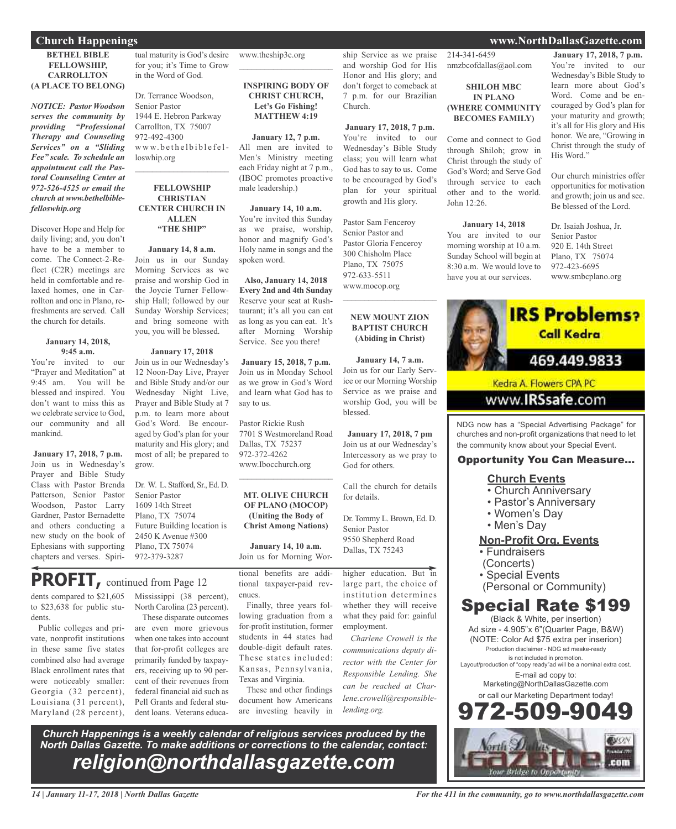#### **BETHEL BIBLE FELLOWSHIP, CARROLLTON (A PLACE TO BELONG)**

*NOTICE: Pastor Woodson serves the community by providing "Professional Therapy and Counseling Services" on a "Sliding Fee" scale. To schedule an appointment call the Pastoral Counseling Center at 972-526-4525 or email the church at www.bethelbiblefelloswhip.org*

Discover Hope and Help for daily living; and, you don't have to be a member to come. The Connect-2-Reflect (C2R) meetings are held in comfortable and relaxed homes, one in Carrollton and one in Plano, refreshments are served. Call the church for details.

#### **January 14, 2018, 9:45 a.m.**

You're invited to our "Prayer and Meditation" at 9:45 am. You will be blessed and inspired. You don't want to miss this as we celebrate service to God, our community and all mankind.

**January 17, 2018, 7 p.m.** Join us in Wednesday's Prayer and Bible Study Class with Pastor Brenda Patterson, Senior Pastor Woodson, Pastor Larry Gardner, Pastor Bernadette and others conducting a new study on the book of Ephesians with supporting chapters and verses. Spiri-

**PROFIT,** continued from Page <sup>12</sup>

dents compared to \$21,605 to \$23,638 for public students.

Public colleges and private, nonprofit institutions in these same five states combined also had average Black enrollment rates that were noticeably smaller: Georgia (32 percent), Louisiana (31 percent), Maryland (28 percent), tual maturity is God's desire for you; it's Time to Grow in the Word of God.

Dr. Terrance Woodson, Senior Pastor 1944 E. Hebron Parkway Carrollton, TX 75007 972-492-4300 www.bethelbiblefelloswhip.org

#### **FELLOWSHIP CHRISTIAN CENTER CHURCH IN ALLEN "THE SHIP"**

 $\mathcal{L}_\text{max}$  , which is a set of the set of the set of the set of the set of the set of the set of the set of the set of the set of the set of the set of the set of the set of the set of the set of the set of the set of

**January 14, 8 a.m.** Join us in our Sunday Morning Services as we praise and worship God in the Joycie Turner Fellowship Hall; followed by our Sunday Worship Services; and bring someone with you, you will be blessed.

#### **January 17, 2018**

Join us in our Wednesday's 12 Noon-Day Live, Prayer and Bible Study and/or our Wednesday Night Live, Prayer and Bible Study at 7 p.m. to learn more about God's Word. Be encouraged by God's plan for your maturity and His glory; and most of all; be prepared to grow.

Dr. W. L. Stafford, Sr., Ed. D. Senior Pastor 1609 14th Street Plano, TX 75074 Future Building location is 2450 K Avenue #300 Plano, TX 75074 972-379-3287

## Mississippi (38 percent),

North Carolina (23 percent).

These disparate outcomes are even more grievous when one takes into account that for-profit colleges are primarily funded by taxpayers, receiving up to 90 percent of their revenues from federal financial aid such as Pell Grants and federal student loans. Veterans educa-

www.theship3c.org  $\overline{\phantom{a}}$  , which is a set of the set of the set of the set of the set of the set of the set of the set of the set of the set of the set of the set of the set of the set of the set of the set of the set of the set of th

> **INSPIRING BODY OF CHRIST CHURCH, Let's Go Fishing! MATTHEW 4:19**

**January 12, 7 p.m.** All men are invited to Men's Ministry meeting each Friday night at 7 p.m., (IBOC promotes proactive male leadership.)

**January 14, 10 a.m.** You're invited this Sunday as we praise, worship, honor and magnify God's Holy name in songs and the spoken word.

**Also, January 14, 2018 Every 2nd and 4th Sunday** Reserve your seat at Rushtaurant; it's all you can eat as long as you can eat. It's after Morning Worship Service. See you there!

**January 15, 2018, 7 p.m.** Join us in Monday School as we grow in God's Word and learn what God has to say to us.

Pastor Rickie Rush 7701 S Westmoreland Road Dallas, TX 75237 972-372-4262 www.Ibocchurch.org

 $\overline{\phantom{a}}$  , which is a set of the set of the set of the set of the set of the set of the set of the set of the set of the set of the set of the set of the set of the set of the set of the set of the set of the set of th

#### **MT. OLIVE CHURCH OF PLANO (MOCOP) (Uniting the Body of Christ Among Nations)**

**January 14, 10 a.m.** Join us for Morning Wor-

tional benefits are additional taxpayer-paid revenues.

Finally, three years following graduation from a for-profit institution, former students in 44 states had double-digit default rates. These states included: Kansas, Pennsylvania, Texas and Virginia.

These and other findings document how Americans are investing heavily in ship Service as we praise and worship God for His Honor and His glory; and don't forget to comeback at 7 p.m. for our Brazilian Church.

**January 17, 2018, 7 p.m.** You're invited to our Wednesday's Bible Study class; you will learn what God has to say to us. Come to be encouraged by God's plan for your spiritual growth and His glory.

Pastor Sam Fenceroy Senior Pastor and Pastor Gloria Fenceroy 300 Chisholm Place Plano, TX 75075 972-633-5511 www.mocop.org

#### **NEW MOUNT ZION BAPTIST CHURCH (Abiding in Christ)**

 $\overline{\phantom{a}}$  , and the set of the set of the set of the set of the set of the set of the set of the set of the set of the set of the set of the set of the set of the set of the set of the set of the set of the set of the s

**January 14, 7 a.m.** Join us for our Early Service or our Morning Worship Service as we praise and worship God, you will be blessed.

**January 17, 2018, 7 pm** Join us at our Wednesday's Intercessory as we pray to God for others.

Call the church for details for details.

Dr. Tommy L. Brown, Ed. D. Senior Pastor 9550 Shepherd Road Dallas, TX 75243

higher education. But in large part, the choice of institution determines whether they will receive what they paid for: gainful employment.

*Charlene Crowell is the communications deputy director with the Center for Responsible Lending. She can be reached at Charlene.crowell@responsiblelending.org.*

*Church Happenings is a weekly calendar of religious services produced by the North Dallas Gazette. To make additions or corrections to the calendar, contact: religion@northdallasgazette.com*

214-341-6459 nmzbcofdallas@aol.com

#### **SHILOH MBC IN PLANO (WHERE COMMUNITY BECOMES FAMILY)**

Come and connect to God through Shiloh; grow in Christ through the study of God's Word; and Serve God through service to each other and to the world. John  $12:26$ .

#### **January 14, 2018**

You are invited to our morning worship at 10 a.m. Sunday School will begin at 8:30 a.m. We would love to have you at our services.

**January 17, 2018, 7 p.m.** You're invited to our Wednesday's Bible Study to learn more about God's Word. Come and be encouraged by God's plan for your maturity and growth; it's all for His glory and His honor. We are, "Growing in Christ through the study of His Word."

Our church ministries offer opportunities for motivation and growth; join us and see. Be blessed of the Lord.

Dr. Isaiah Joshua, Jr. Senior Pastor 920 E. 14th Street Plano, TX 75074 972-423-6695 www.smbcplano.org



churches and non-profit organizations that need to let the community know about your Special Event.

#### Opportunity You Can Measure...

### **Church Events**

- Church Anniversary
- Pastor's Anniversary
- Women's Day
- Men's Day

### **Non-Profit Org. Events**

- Fundraisers
- (Concerts)
- Special Events
- (Personal or Community)

### Special Rate \$199

(Black & White, per insertion) Ad size - 4.905"x 6"(Quarter Page, B&W) (NOTE: Color Ad \$75 extra per inserion) Production disclaimer - NDG ad meake-ready is not included in promotion. Layout/production of "copy ready"ad will be a nominal extra cost. E-mail ad copy to: Marketing@NorthDallasGazette.com or call our Marketing Department today!



#### **Church Happenings www.NorthDallasGazette.com**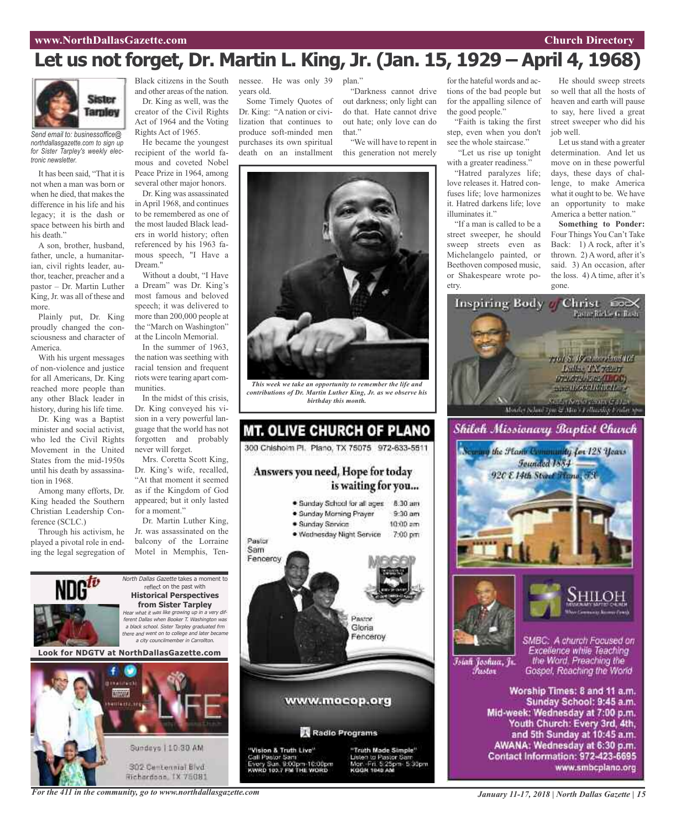#### **www.NorthDallasGazette.com Church Directory**

## **Let us not forget, Dr. Martin L. King, Jr. (Jan. 15, 1929 – April 4, 1968)**



*Send email to: businessoffice@ northdallasgazette.com to sign up for Sister Tarpley's weekly electronic newsletter.*

It has been said, "That it is not when a man was born or when he died, that makes the difference in his life and his legacy; it is the dash or space between his birth and his death."

A son, brother, husband, father, uncle, a humanitarian, civil rights leader, author, teacher, preacher and a pastor – Dr. Martin Luther King,Jr. was all of these and more.

Plainly put, Dr. King proudly changed the consciousness and character of America.

With his urgent messages of non-violence and justice for all Americans, Dr. King reached more people than any other Black leader in history, during his life time.

Dr. King was a Baptist minister and social activist, who led the Civil Rights Movement in the United States from the mid-1950s until his death by assassination in 1968.

Among many efforts, Dr. King headed the Southern Christian Leadership Conference (SCLC.)

Through his activism, he played a pivotal role in ending the legal segregation of and other areas of the nation. Dr. King as well, was the creator of the Civil Rights Act of 1964 and the Voting Rights Act of 1965.

He became the youngest recipient of the world famous and coveted Nobel Peace Prize in 1964, among several other major honors.

Dr. King was assassinated inApril 1968, and continues to be remembered as one of the most lauded Black leaders in world history; often referenced by his 1963 famous speech, "I Have a Dream."

Without a doubt, "I Have a Dream" was Dr. King's most famous and beloved speech; it was delivered to more than 200,000 people at the "March on Washington" at the Lincoln Memorial.

In the summer of 1963, the nation was seething with racial tension and frequent riots were tearing apart communities.

In the midst of this crisis, Dr. King conveyed his vision in a very powerful language that the world has not forgotten and probably never will forget.

Mrs. Coretta Scott King, Dr. King's wife, recalled, "At that moment it seemed as if the Kingdom of God appeared; but it only lasted for a moment."

Dr. Martin Luther King, Jr. was assassinated on the balcony of the Lorraine Motel in Memphis, Ten-

North Dallas Gazette takes a moment to reflect on the past with **Historical Perspectives from Sister Tarpley** Hear what it was like growing up in <sup>a</sup> very different Dallas when Booker T. Washington was <sup>a</sup> black school. Sister Tarpley graduated frm there and went on to college and later became <sup>a</sup> city councilmember in Carrollton.

**Look for NDGTV at NorthDallasGazette.com**



Black citizens in the South nessee. He was only 39 years old.

> Some Timely Quotes of Dr. King: "A nation or civilization that continues to produce soft-minded men purchases its own spiritual death on an installment

plan." "Darkness cannot drive out darkness; only light can

do that. Hate cannot drive out hate; only love can do that."

"We will have to repent in this generation not merely



*This week we take an opportunity to remember the life and contributions of Dr. Martin Luther King, Jr. as we observe his birthday this month.*

### **MT. OLIVE CHURCH OF PLANO** 300 Chishoim Pl. Plano, TX 75075 972-633-5511 Answers you need, Hope for today is waiting for you... · Sunday School for all ages 8:30 am · Sunday Morning Prayer  $9.30$  am · Sunday Service  $10:00$  am . Wednesday Night Service 7:00 pm Pastor Sam Fencercy Pastor Gloria Fenceroy www.mocop.org Radio Programs "Vision & Truth Live" "Truth Made Simple"

"Vision & Truth Live"<br>Call Pastor Sam<br>Every Sun, 9:00pm-10:00pm<br>KWRD 103.7 FM THE WORD



for the hateful words and actions of the bad people but for the appalling silence of the good people."

"Faith is taking the first step, even when you don't see the whole staircase."

"Let us rise up tonight with a greater readiness."

"Hatred paralyzes life; love releases it. Hatred confuses life; love harmonizes it. Hatred darkens life; love illuminates it."

"If a man is called to be a street sweeper, he should sweep streets even as Michelangelo painted, or Beethoven composed music, or Shakespeare wrote poetry.

He should sweep streets so well that all the hosts of heaven and earth will pause to say, here lived a great street sweeper who did his job well.

Let us stand with a greater determination. And let us move on in these powerful days, these days of challenge, to make America what it ought to be. We have an opportunity to make America a better nation."

**Something to Ponder:** Four Things You Can't Take Back: 1) A rock, after it's thrown. 2) A word, after it's said. 3) An occasion, after the loss. 4) A time, after it's gone.





Īsiah Joshua, Jr. Fustor

SMBC: A church Focused on Excellence while Teaching the Word. Preaching the Gospel, Reaching the World

Worship Times: 8 and 11 a.m. Sunday School: 9:45 a.m. Mid-week: Wednesday at 7:00 p.m. Youth Church: Every 3rd, 4th, and 5th Sunday at 10:45 a.m. AWANA: Wednesday at 6:30 p.m. Contact Information: 972-423-6695 www.smbcplano.org

*For the 411 in the community, go to www.northdallasgazette.com*

*January 11-17, 2018 | North Dallas Gazette | 15*